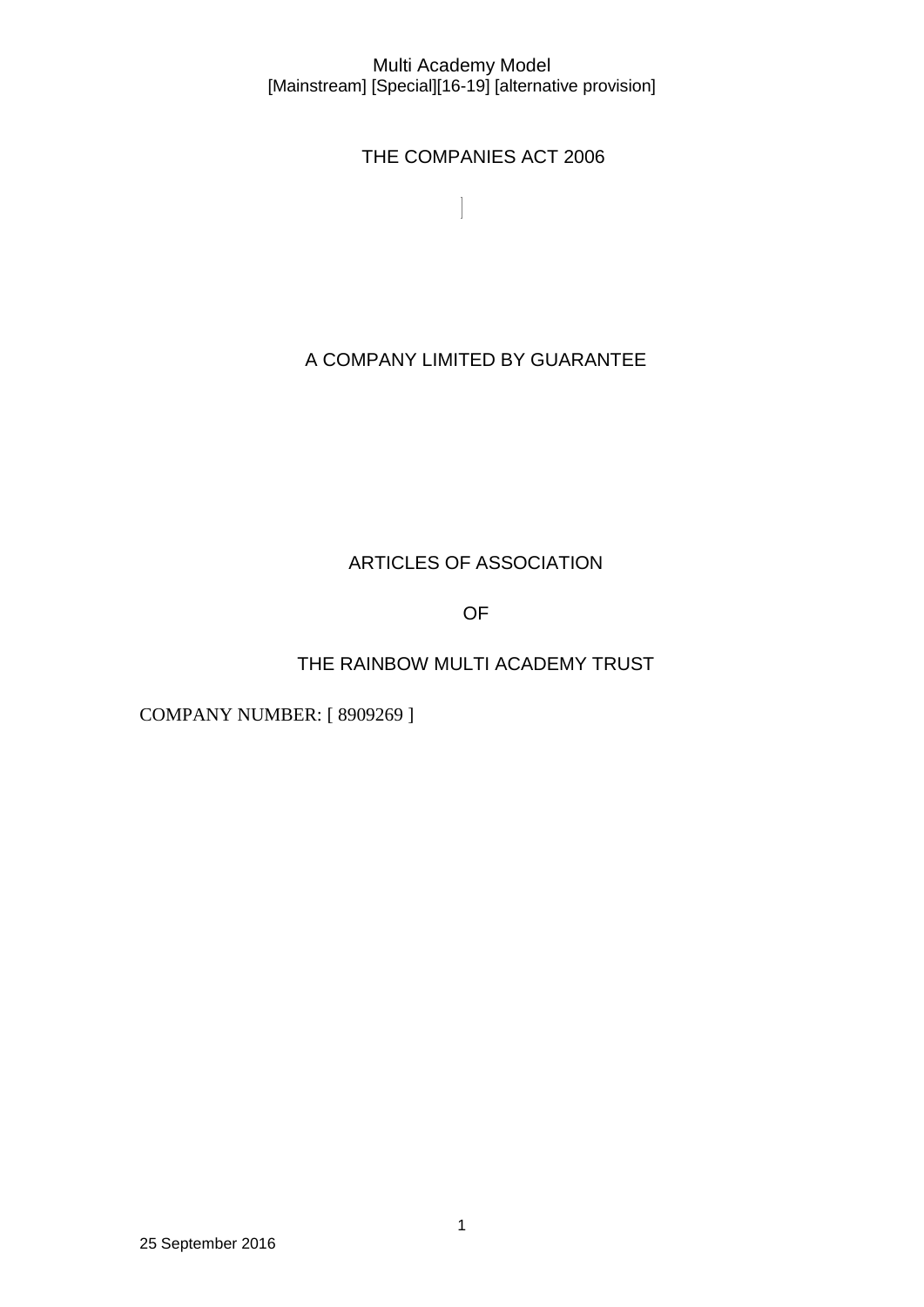$\begin{array}{c} \end{array}$ 

THE COMPANIES ACT 2006

A COMPANY LIMITED BY GUARANTEE

# ARTICLES OF ASSOCIATION

OF

THE RAINBOW MULTI ACADEMY TRUST

COMPANY NUMBER: [ 8909269 ]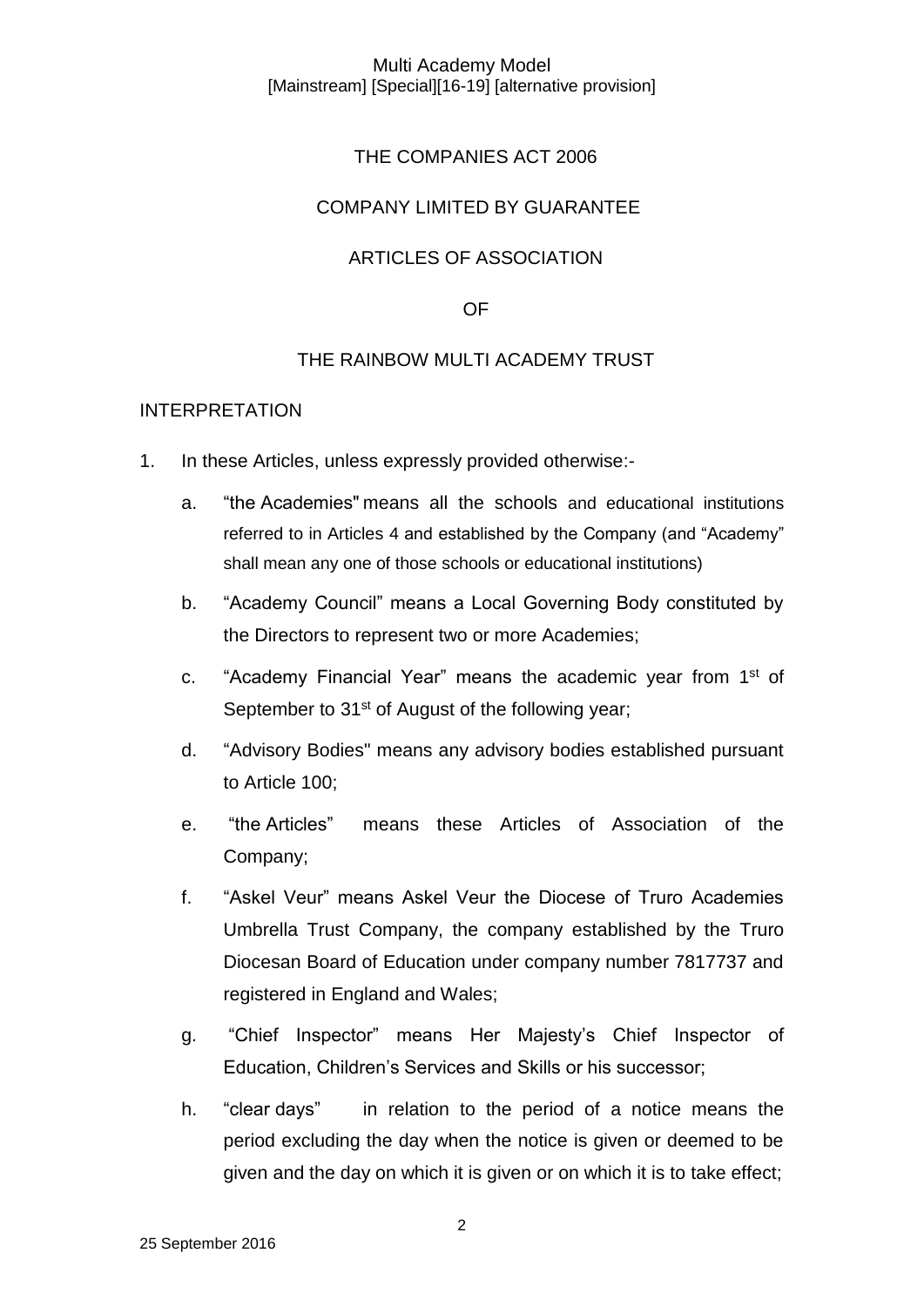## THE COMPANIES ACT 2006

## COMPANY LIMITED BY GUARANTEE

## ARTICLES OF ASSOCIATION

## OF

## THE RAINBOW MULTI ACADEMY TRUST

### INTERPRETATION

- 1. In these Articles, unless expressly provided otherwise:
	- a. "the Academies" means all the schools and educational institutions referred to in Articles 4 and established by the Company (and "Academy" shall mean any one of those schools or educational institutions)
	- b. "Academy Council" means a Local Governing Body constituted by the Directors to represent two or more Academies;
	- c. "Academy Financial Year" means the academic year from 1<sup>st</sup> of September to 31<sup>st</sup> of August of the following year;
	- d. "Advisory Bodies" means any advisory bodies established pursuant to Article 100;
	- e. "the Articles" means these Articles of Association of the Company;
	- f. "Askel Veur" means Askel Veur the Diocese of Truro Academies Umbrella Trust Company, the company established by the Truro Diocesan Board of Education under company number 7817737 and registered in England and Wales;
	- g. "Chief Inspector" means Her Majesty's Chief Inspector of Education, Children's Services and Skills or his successor;
	- h. "clear days" in relation to the period of a notice means the period excluding the day when the notice is given or deemed to be given and the day on which it is given or on which it is to take effect;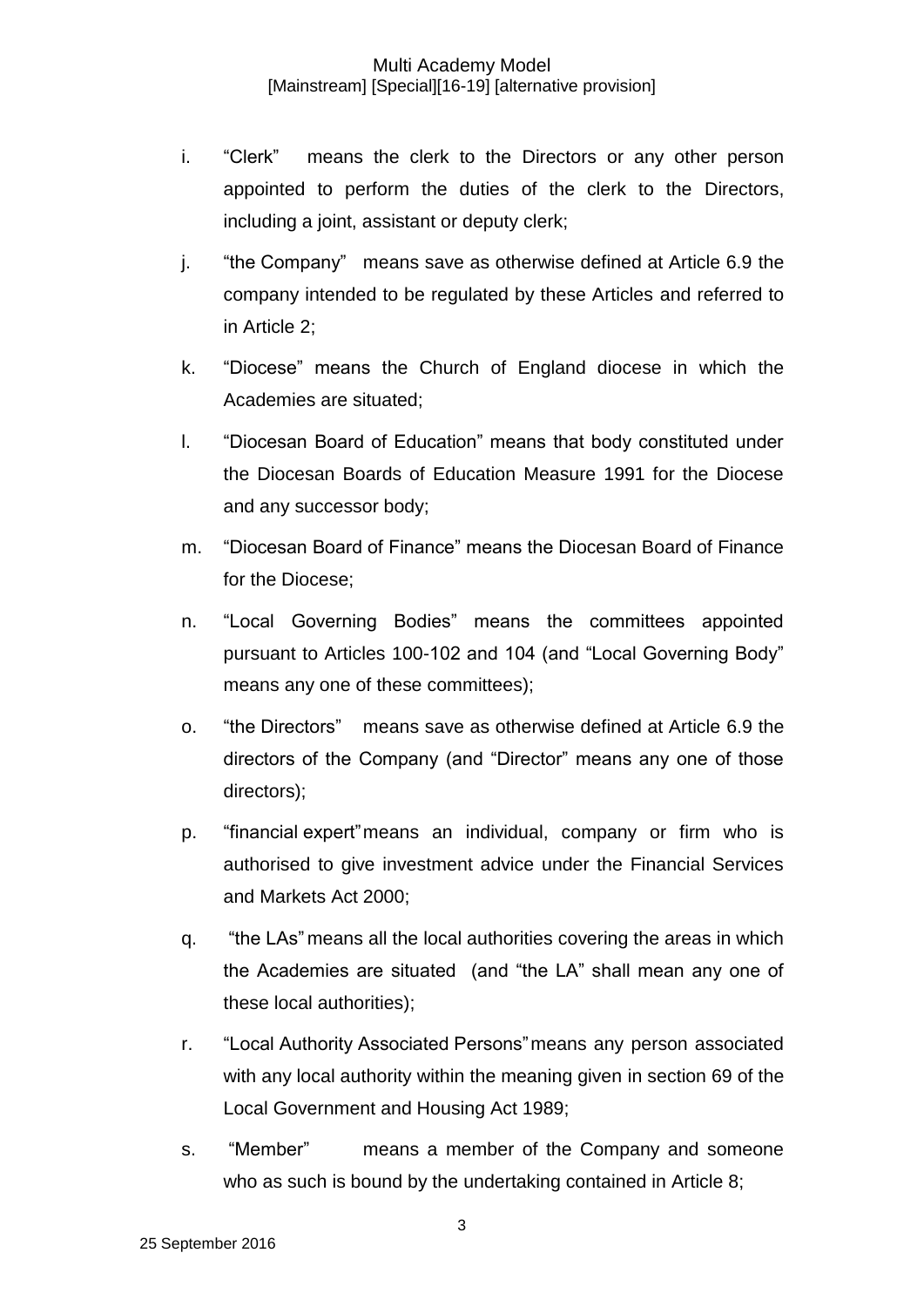- i. "Clerk" means the clerk to the Directors or any other person appointed to perform the duties of the clerk to the Directors, including a joint, assistant or deputy clerk;
- j. "the Company" means save as otherwise defined at Article 6.9 the company intended to be regulated by these Articles and referred to in Article 2;
- k. "Diocese" means the Church of England diocese in which the Academies are situated;
- l. "Diocesan Board of Education" means that body constituted under the Diocesan Boards of Education Measure 1991 for the Diocese and any successor body;
- m. "Diocesan Board of Finance" means the Diocesan Board of Finance for the Diocese;
- n. "Local Governing Bodies" means the committees appointed pursuant to Articles 100-102 and 104 (and "Local Governing Body" means any one of these committees);
- o. "the Directors" means save as otherwise defined at Article 6.9 the directors of the Company (and "Director" means any one of those directors);
- p. "financial expert"means an individual, company or firm who is authorised to give investment advice under the Financial Services and Markets Act 2000;
- q. "the LAs" means all the local authorities covering the areas in which the Academies are situated (and "the LA" shall mean any one of these local authorities);
- r. "Local Authority Associated Persons"means any person associated with any local authority within the meaning given in section 69 of the Local Government and Housing Act 1989;
- s. "Member" means a member of the Company and someone who as such is bound by the undertaking contained in Article 8;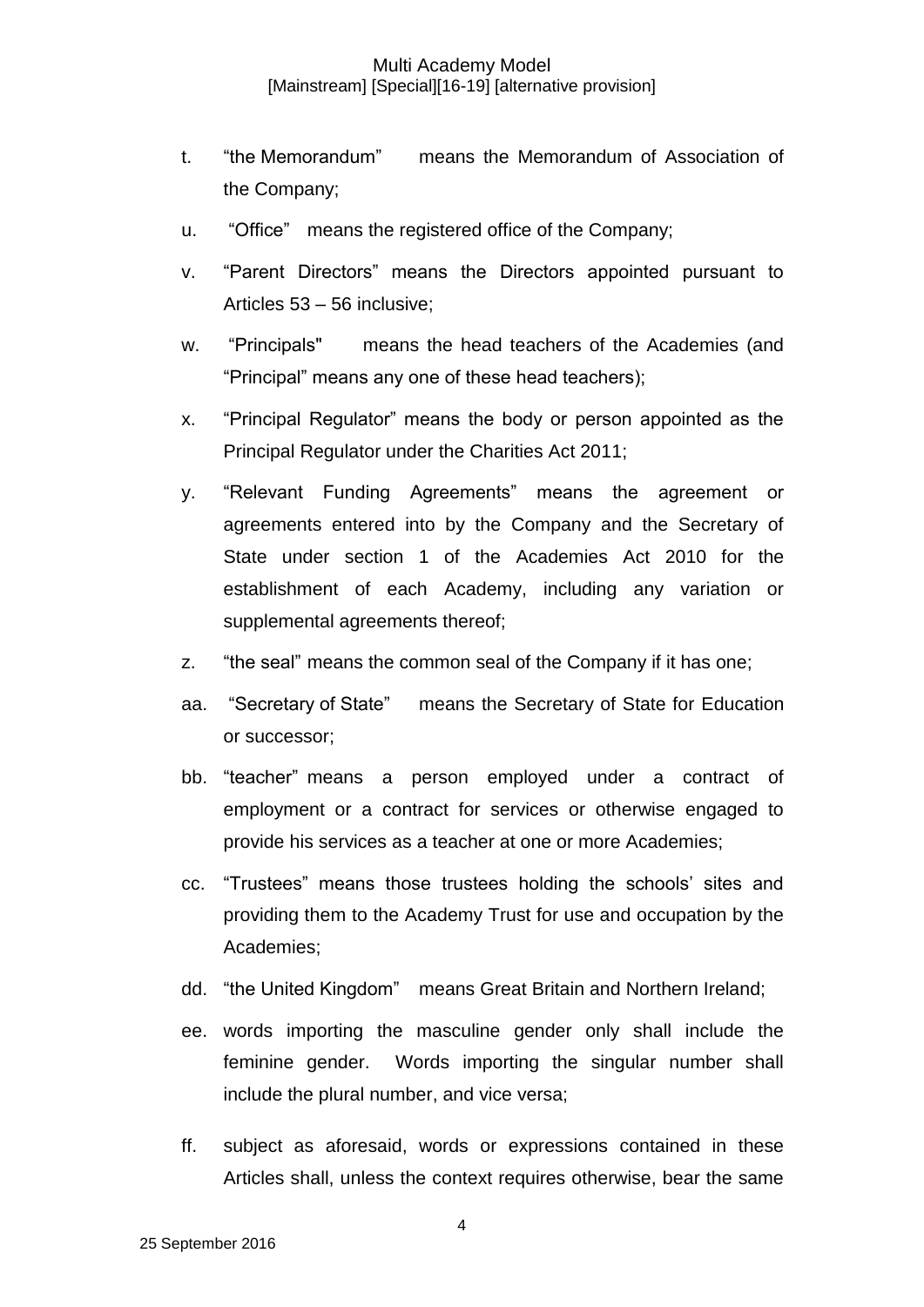- t. "the Memorandum" means the Memorandum of Association of the Company;
- u. "Office" means the registered office of the Company;
- v. "Parent Directors" means the Directors appointed pursuant to Articles 53 – 56 inclusive;
- w. "Principals" means the head teachers of the Academies (and "Principal" means any one of these head teachers);
- x. "Principal Regulator" means the body or person appointed as the Principal Regulator under the Charities Act 2011;
- y. "Relevant Funding Agreements" means the agreement or agreements entered into by the Company and the Secretary of State under section 1 of the Academies Act 2010 for the establishment of each Academy, including any variation or supplemental agreements thereof;
- z. "the seal" means the common seal of the Company if it has one;
- aa. "Secretary of State" means the Secretary of State for Education or successor;
- bb. "teacher" means a person employed under a contract of employment or a contract for services or otherwise engaged to provide his services as a teacher at one or more Academies;
- cc. "Trustees" means those trustees holding the schools' sites and providing them to the Academy Trust for use and occupation by the Academies;
- dd. "the United Kingdom" means Great Britain and Northern Ireland;
- ee. words importing the masculine gender only shall include the feminine gender. Words importing the singular number shall include the plural number, and vice versa;
- ff. subject as aforesaid, words or expressions contained in these Articles shall, unless the context requires otherwise, bear the same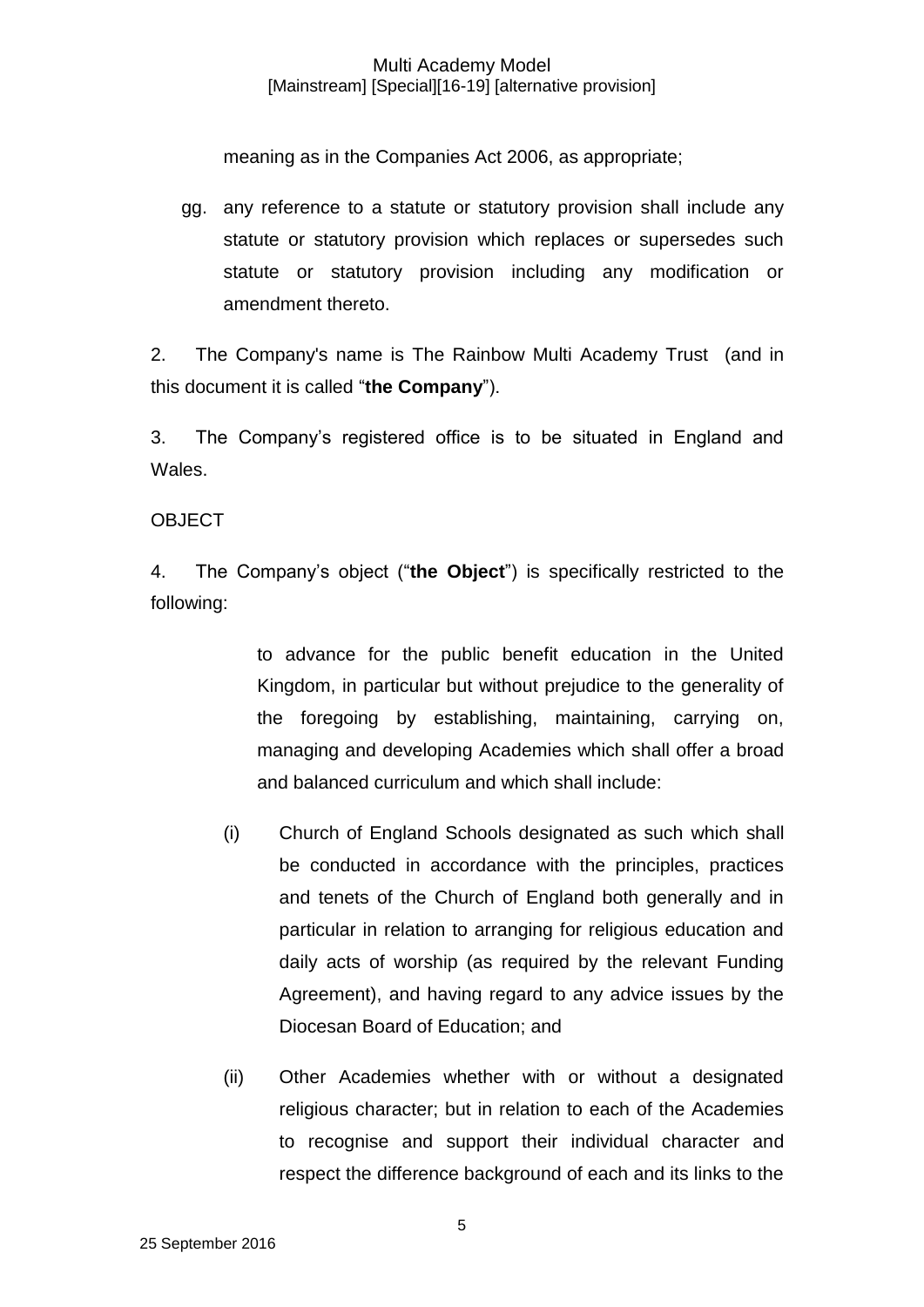meaning as in the Companies Act 2006, as appropriate;

gg. any reference to a statute or statutory provision shall include any statute or statutory provision which replaces or supersedes such statute or statutory provision including any modification or amendment thereto.

2. The Company's name is The Rainbow Multi Academy Trust (and in this document it is called "**the Company**").

3. The Company's registered office is to be situated in England and Wales.

## **OBJECT**

4. The Company's object ("**the Object**") is specifically restricted to the following:

> to advance for the public benefit education in the United Kingdom, in particular but without prejudice to the generality of the foregoing by establishing, maintaining, carrying on, managing and developing Academies which shall offer a broad and balanced curriculum and which shall include:

- (i) Church of England Schools designated as such which shall be conducted in accordance with the principles, practices and tenets of the Church of England both generally and in particular in relation to arranging for religious education and daily acts of worship (as required by the relevant Funding Agreement), and having regard to any advice issues by the Diocesan Board of Education; and
- (ii) Other Academies whether with or without a designated religious character; but in relation to each of the Academies to recognise and support their individual character and respect the difference background of each and its links to the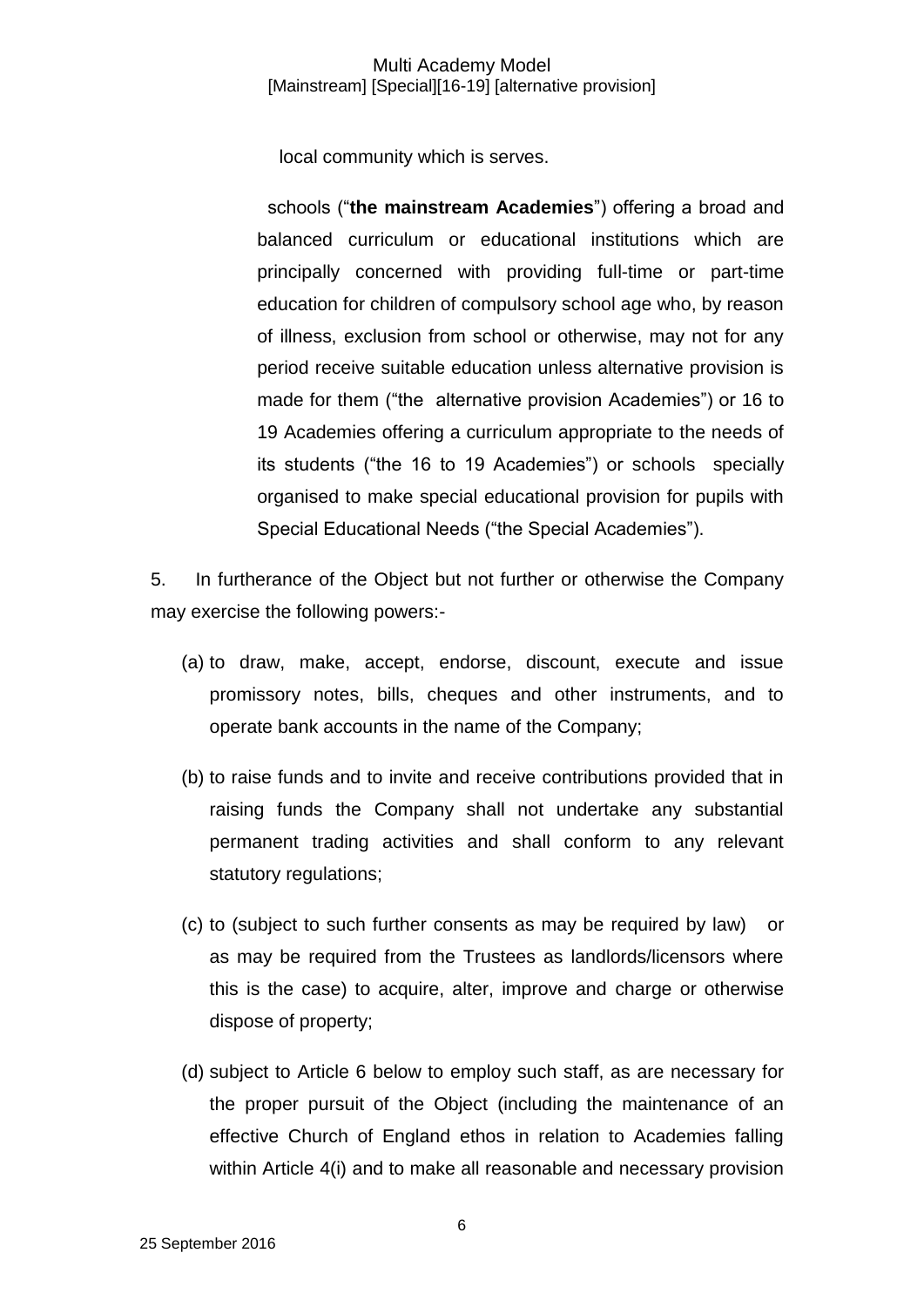local community which is serves.

schools ("**the mainstream Academies**") offering a broad and balanced curriculum or educational institutions which are principally concerned with providing full-time or part-time education for children of compulsory school age who, by reason of illness, exclusion from school or otherwise, may not for any period receive suitable education unless alternative provision is made for them ("the alternative provision Academies") or 16 to 19 Academies offering a curriculum appropriate to the needs of its students ("the 16 to 19 Academies") or schools specially organised to make special educational provision for pupils with Special Educational Needs ("the Special Academies").

5. In furtherance of the Object but not further or otherwise the Company may exercise the following powers:-

- (a) to draw, make, accept, endorse, discount, execute and issue promissory notes, bills, cheques and other instruments, and to operate bank accounts in the name of the Company;
- (b) to raise funds and to invite and receive contributions provided that in raising funds the Company shall not undertake any substantial permanent trading activities and shall conform to any relevant statutory regulations;
- (c) to (subject to such further consents as may be required by law) or as may be required from the Trustees as landlords/licensors where this is the case) to acquire, alter, improve and charge or otherwise dispose of property;
- (d) subject to Article 6 below to employ such staff, as are necessary for the proper pursuit of the Object (including the maintenance of an effective Church of England ethos in relation to Academies falling within Article 4(i) and to make all reasonable and necessary provision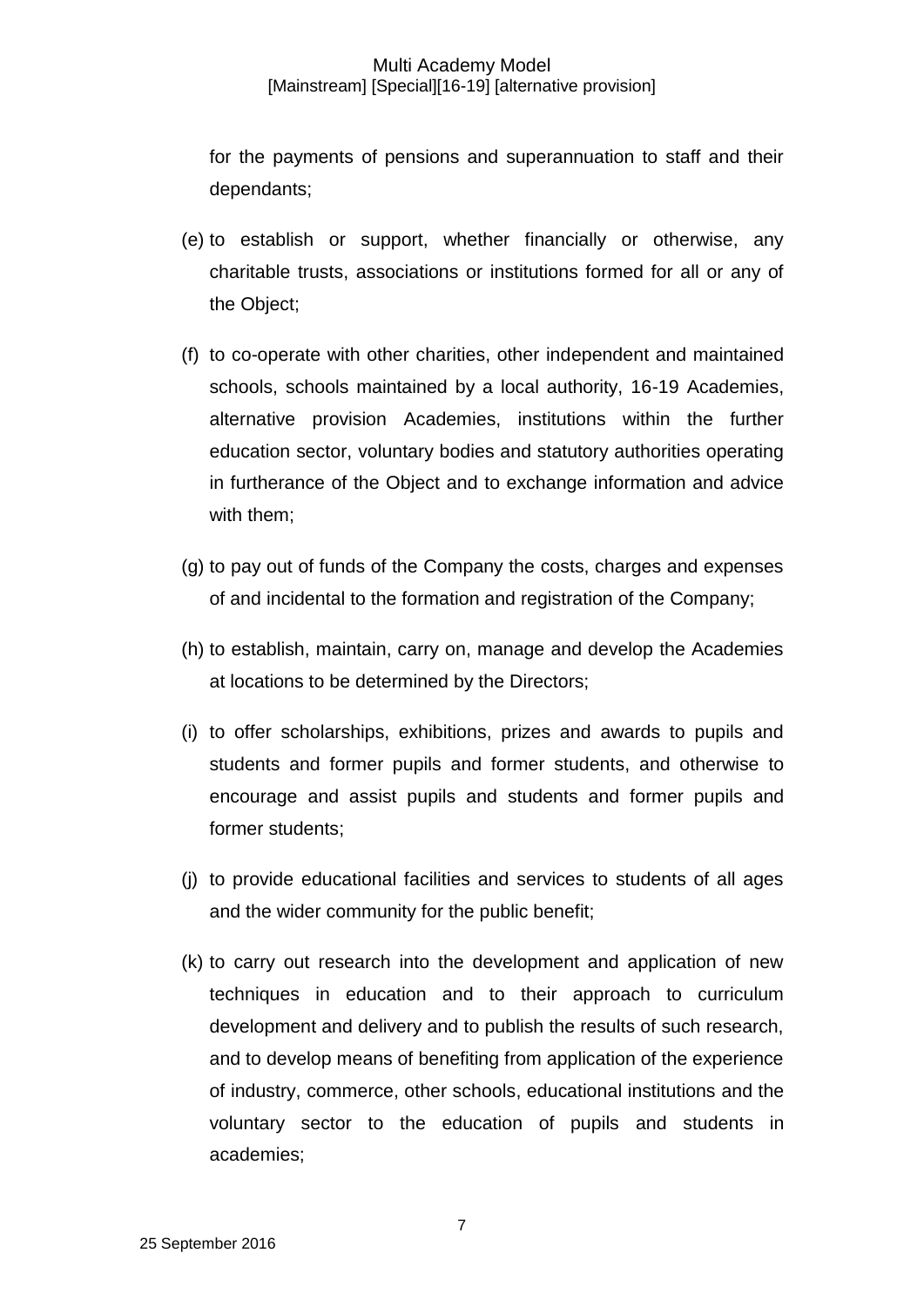for the payments of pensions and superannuation to staff and their dependants;

- (e) to establish or support, whether financially or otherwise, any charitable trusts, associations or institutions formed for all or any of the Object;
- (f) to co-operate with other charities, other independent and maintained schools, schools maintained by a local authority, 16-19 Academies, alternative provision Academies, institutions within the further education sector, voluntary bodies and statutory authorities operating in furtherance of the Object and to exchange information and advice with them;
- (g) to pay out of funds of the Company the costs, charges and expenses of and incidental to the formation and registration of the Company;
- (h) to establish, maintain, carry on, manage and develop the Academies at locations to be determined by the Directors;
- (i) to offer scholarships, exhibitions, prizes and awards to pupils and students and former pupils and former students, and otherwise to encourage and assist pupils and students and former pupils and former students;
- (j) to provide educational facilities and services to students of all ages and the wider community for the public benefit;
- (k) to carry out research into the development and application of new techniques in education and to their approach to curriculum development and delivery and to publish the results of such research, and to develop means of benefiting from application of the experience of industry, commerce, other schools, educational institutions and the voluntary sector to the education of pupils and students in academies;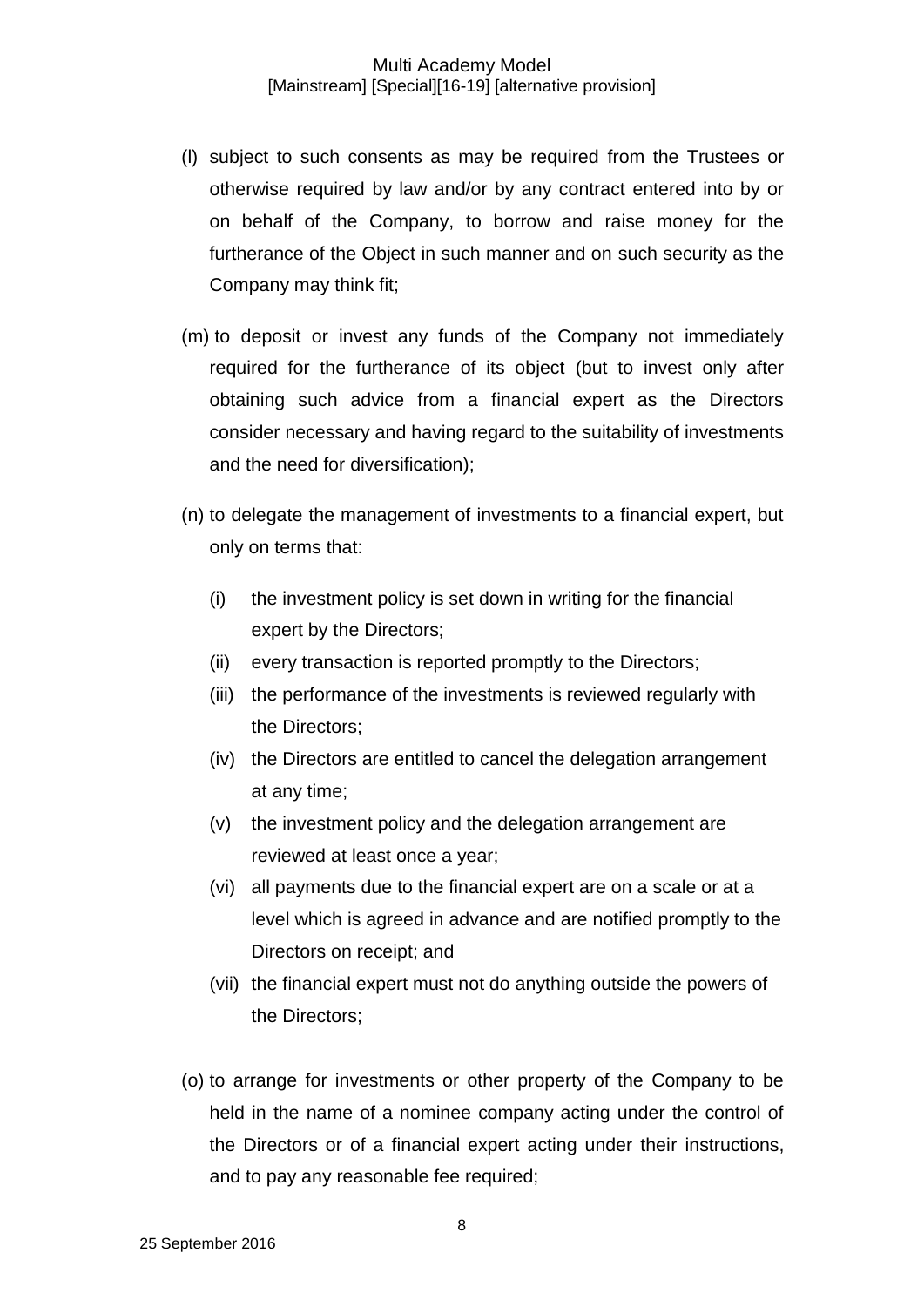- (l) subject to such consents as may be required from the Trustees or otherwise required by law and/or by any contract entered into by or on behalf of the Company, to borrow and raise money for the furtherance of the Object in such manner and on such security as the Company may think fit;
- (m) to deposit or invest any funds of the Company not immediately required for the furtherance of its object (but to invest only after obtaining such advice from a financial expert as the Directors consider necessary and having regard to the suitability of investments and the need for diversification);
- (n) to delegate the management of investments to a financial expert, but only on terms that:
	- (i) the investment policy is set down in writing for the financial expert by the Directors;
	- (ii) every transaction is reported promptly to the Directors;
	- (iii) the performance of the investments is reviewed regularly with the Directors;
	- (iv) the Directors are entitled to cancel the delegation arrangement at any time;
	- (v) the investment policy and the delegation arrangement are reviewed at least once a year;
	- (vi) all payments due to the financial expert are on a scale or at a level which is agreed in advance and are notified promptly to the Directors on receipt; and
	- (vii) the financial expert must not do anything outside the powers of the Directors;
- (o) to arrange for investments or other property of the Company to be held in the name of a nominee company acting under the control of the Directors or of a financial expert acting under their instructions, and to pay any reasonable fee required;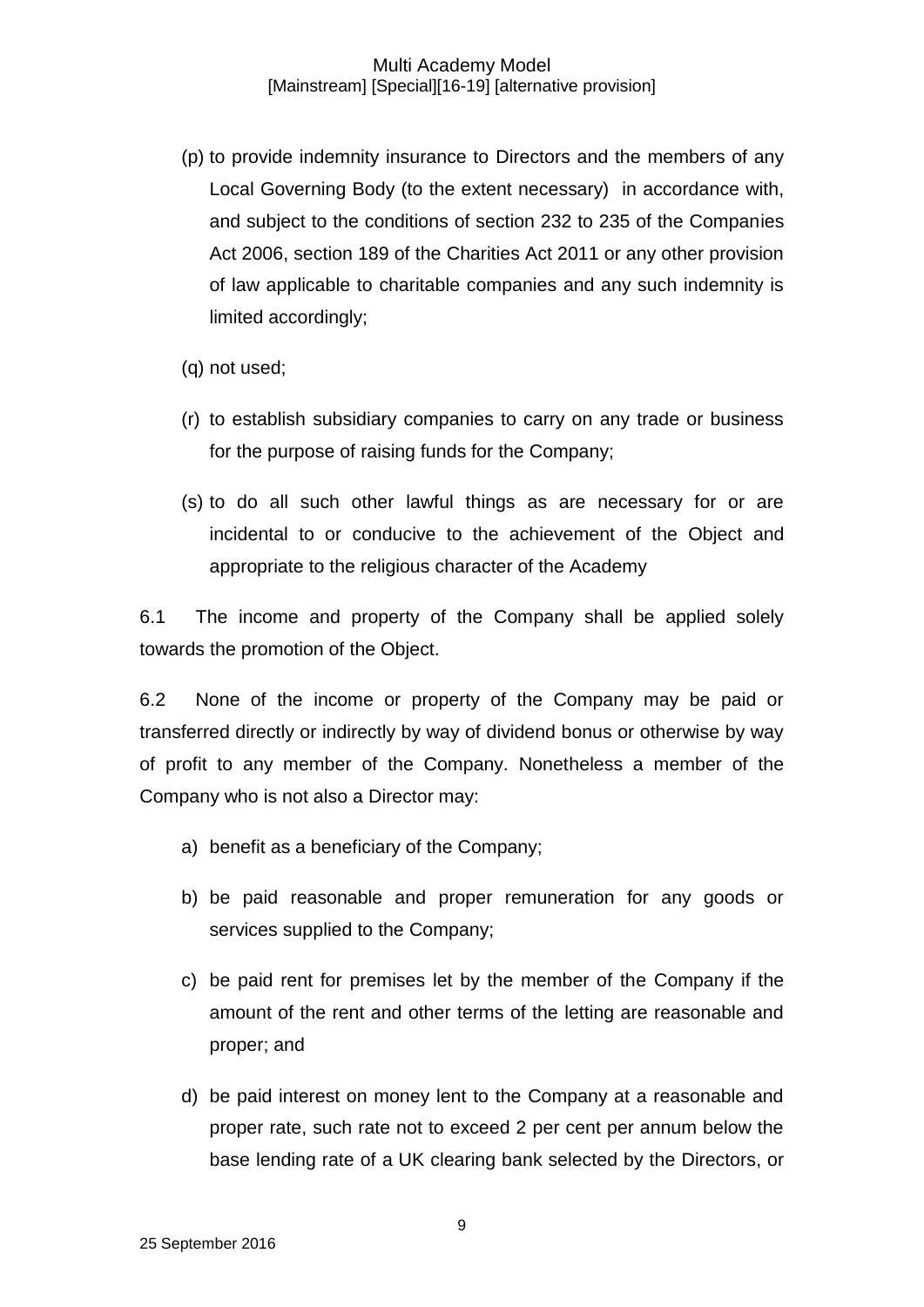- (p) to provide indemnity insurance to Directors and the members of any Local Governing Body (to the extent necessary) in accordance with, and subject to the conditions of section 232 to 235 of the Companies Act 2006, section 189 of the Charities Act 2011 or any other provision of law applicable to charitable companies and any such indemnity is limited accordingly;
- (q) not used;
- (r) to establish subsidiary companies to carry on any trade or business for the purpose of raising funds for the Company;
- (s) to do all such other lawful things as are necessary for or are incidental to or conducive to the achievement of the Object and appropriate to the religious character of the Academy

6.1 The income and property of the Company shall be applied solely towards the promotion of the Object.

6.2 None of the income or property of the Company may be paid or transferred directly or indirectly by way of dividend bonus or otherwise by way of profit to any member of the Company. Nonetheless a member of the Company who is not also a Director may:

- a) benefit as a beneficiary of the Company;
- b) be paid reasonable and proper remuneration for any goods or services supplied to the Company;
- c) be paid rent for premises let by the member of the Company if the amount of the rent and other terms of the letting are reasonable and proper; and
- d) be paid interest on money lent to the Company at a reasonable and proper rate, such rate not to exceed 2 per cent per annum below the base lending rate of a UK clearing bank selected by the Directors, or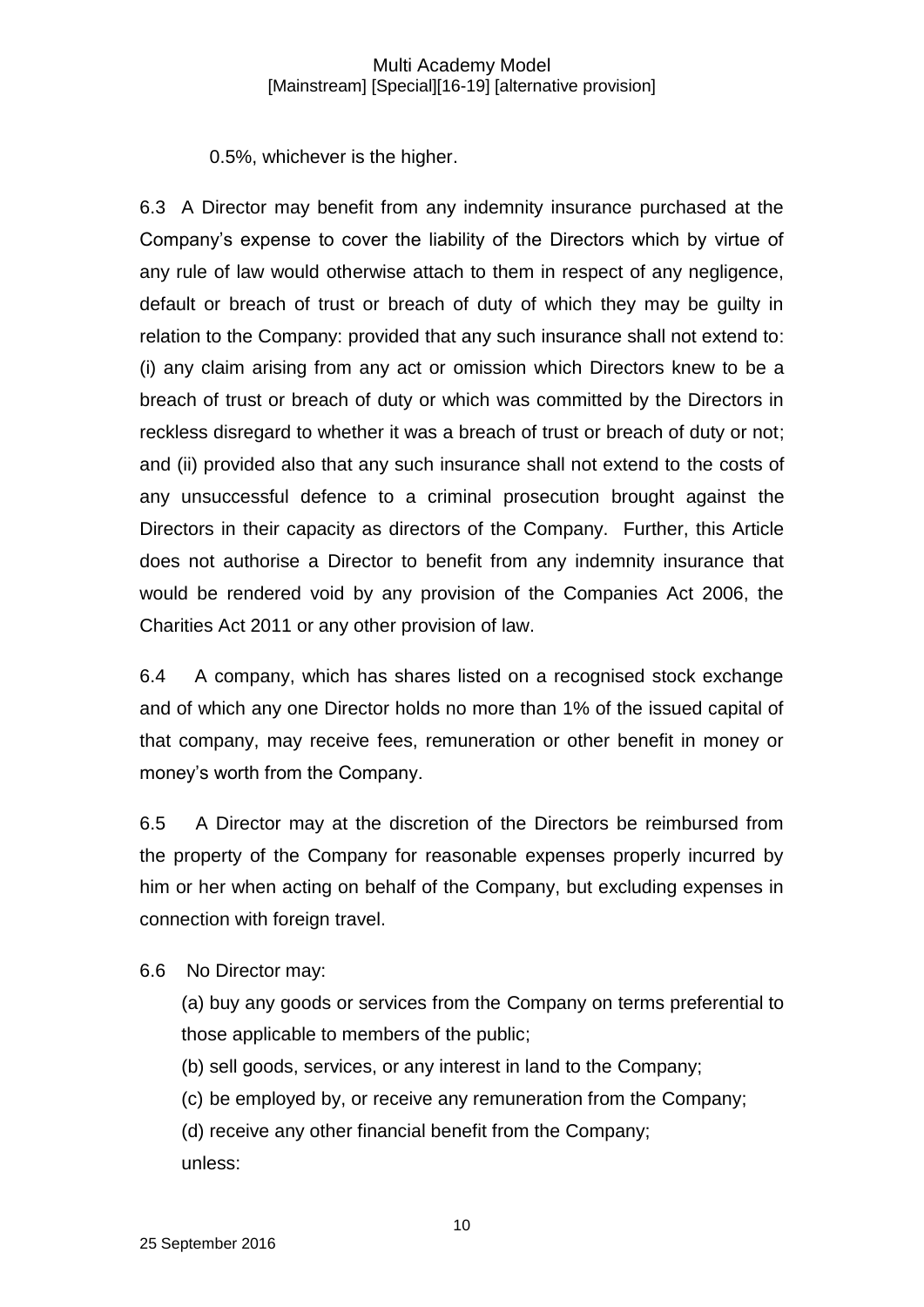0.5%, whichever is the higher.

6.3 A Director may benefit from any indemnity insurance purchased at the Company's expense to cover the liability of the Directors which by virtue of any rule of law would otherwise attach to them in respect of any negligence, default or breach of trust or breach of duty of which they may be guilty in relation to the Company: provided that any such insurance shall not extend to: (i) any claim arising from any act or omission which Directors knew to be a breach of trust or breach of duty or which was committed by the Directors in reckless disregard to whether it was a breach of trust or breach of duty or not; and (ii) provided also that any such insurance shall not extend to the costs of any unsuccessful defence to a criminal prosecution brought against the Directors in their capacity as directors of the Company. Further, this Article does not authorise a Director to benefit from any indemnity insurance that would be rendered void by any provision of the Companies Act 2006, the Charities Act 2011 or any other provision of law.

6.4 A company, which has shares listed on a recognised stock exchange and of which any one Director holds no more than 1% of the issued capital of that company, may receive fees, remuneration or other benefit in money or money's worth from the Company.

6.5 A Director may at the discretion of the Directors be reimbursed from the property of the Company for reasonable expenses properly incurred by him or her when acting on behalf of the Company, but excluding expenses in connection with foreign travel.

6.6 No Director may:

(a) buy any goods or services from the Company on terms preferential to those applicable to members of the public;

(b) sell goods, services, or any interest in land to the Company;

(c) be employed by, or receive any remuneration from the Company;

(d) receive any other financial benefit from the Company; unless: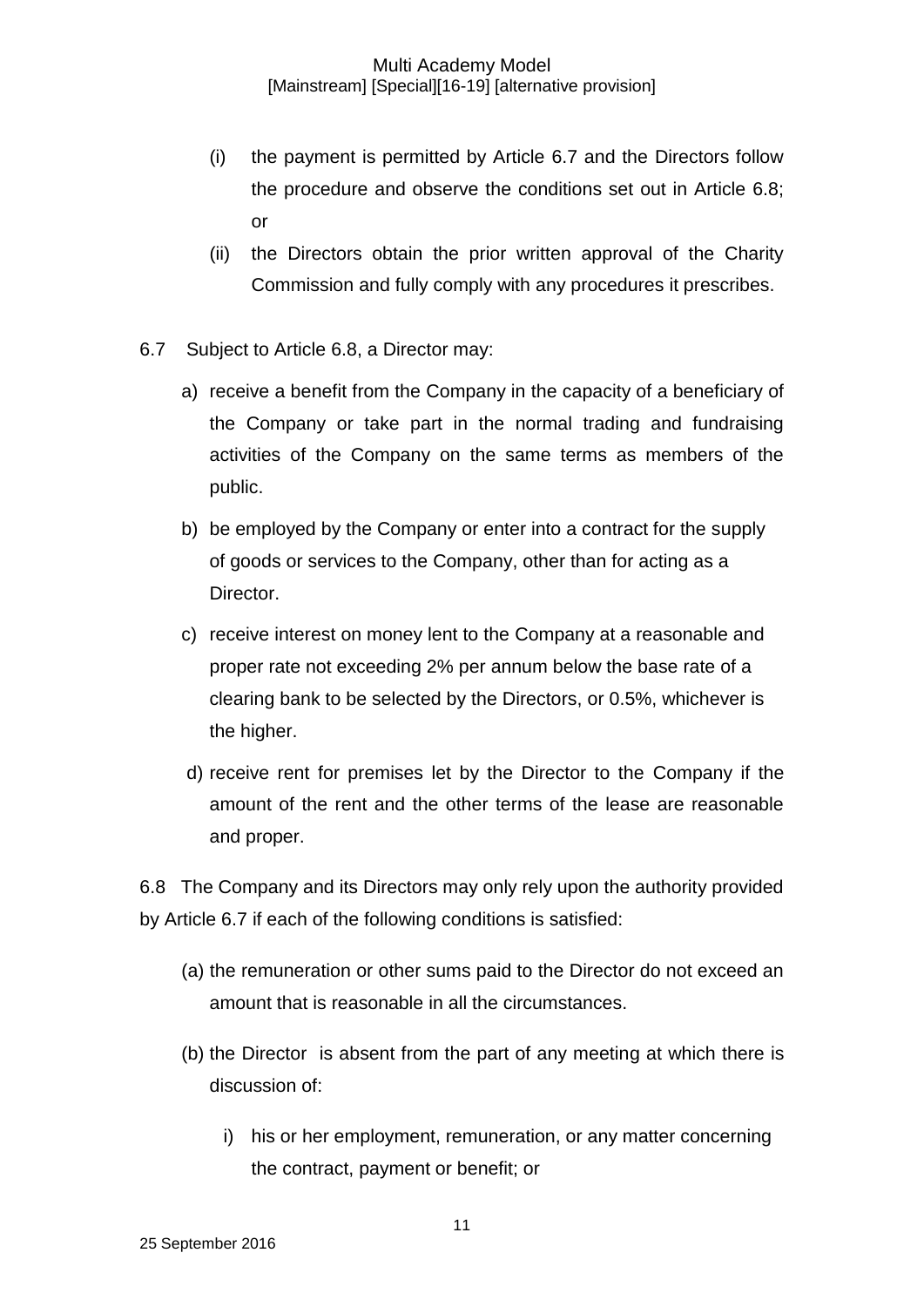- (i) the payment is permitted by Article 6.7 and the Directors follow the procedure and observe the conditions set out in Article 6.8; or
- (ii) the Directors obtain the prior written approval of the Charity Commission and fully comply with any procedures it prescribes.
- 6.7 Subject to Article 6.8, a Director may:
	- a) receive a benefit from the Company in the capacity of a beneficiary of the Company or take part in the normal trading and fundraising activities of the Company on the same terms as members of the public.
	- b) be employed by the Company or enter into a contract for the supply of goods or services to the Company, other than for acting as a Director.
	- c) receive interest on money lent to the Company at a reasonable and proper rate not exceeding 2% per annum below the base rate of a clearing bank to be selected by the Directors, or 0.5%, whichever is the higher.
	- d) receive rent for premises let by the Director to the Company if the amount of the rent and the other terms of the lease are reasonable and proper.

6.8 The Company and its Directors may only rely upon the authority provided by Article 6.7 if each of the following conditions is satisfied:

- (a) the remuneration or other sums paid to the Director do not exceed an amount that is reasonable in all the circumstances.
- (b) the Director is absent from the part of any meeting at which there is discussion of:
	- i) his or her employment, remuneration, or any matter concerning the contract, payment or benefit; or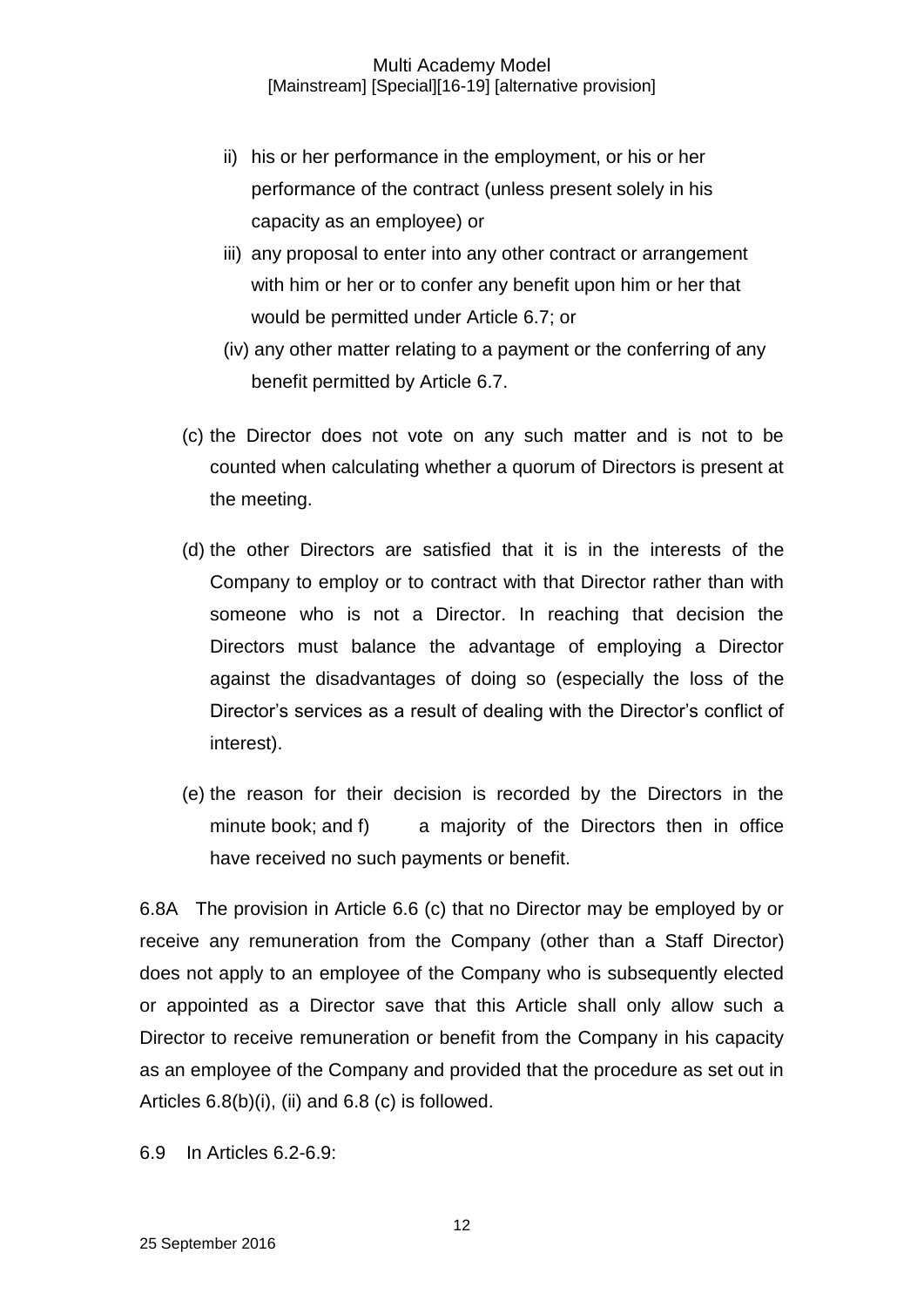- ii) his or her performance in the employment, or his or her performance of the contract (unless present solely in his capacity as an employee) or
- iii) any proposal to enter into any other contract or arrangement with him or her or to confer any benefit upon him or her that would be permitted under Article 6.7; or
- (iv) any other matter relating to a payment or the conferring of any benefit permitted by Article 6.7.
- (c) the Director does not vote on any such matter and is not to be counted when calculating whether a quorum of Directors is present at the meeting.
- (d) the other Directors are satisfied that it is in the interests of the Company to employ or to contract with that Director rather than with someone who is not a Director. In reaching that decision the Directors must balance the advantage of employing a Director against the disadvantages of doing so (especially the loss of the Director's services as a result of dealing with the Director's conflict of interest).
- (e) the reason for their decision is recorded by the Directors in the minute book; and f) a majority of the Directors then in office have received no such payments or benefit.

6.8A The provision in Article 6.6 (c) that no Director may be employed by or receive any remuneration from the Company (other than a Staff Director) does not apply to an employee of the Company who is subsequently elected or appointed as a Director save that this Article shall only allow such a Director to receive remuneration or benefit from the Company in his capacity as an employee of the Company and provided that the procedure as set out in Articles 6.8(b)(i), (ii) and 6.8 (c) is followed.

6.9 In Articles 6.2-6.9: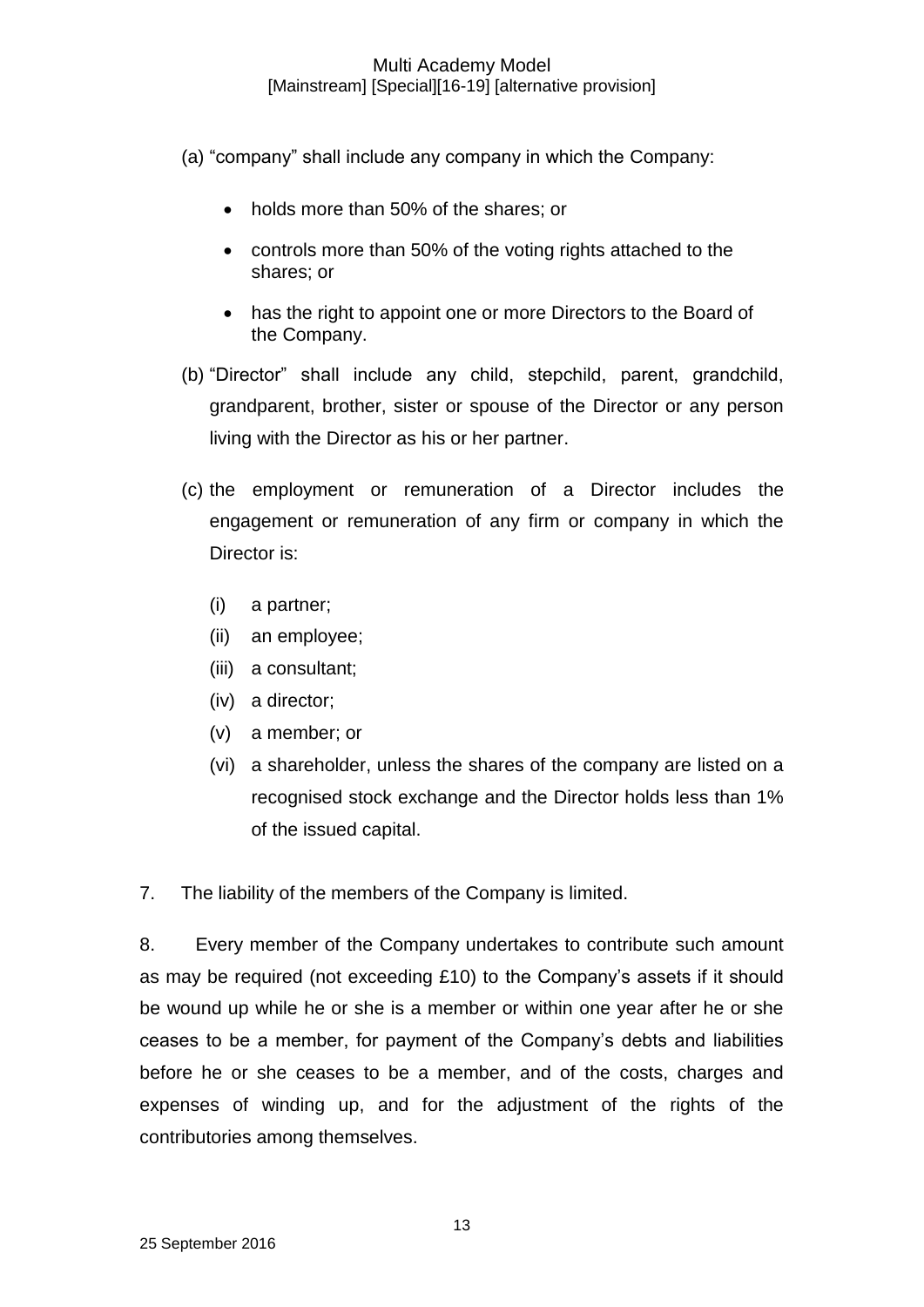(a) "company" shall include any company in which the Company:

- holds more than 50% of the shares; or
- controls more than 50% of the voting rights attached to the shares; or
- has the right to appoint one or more Directors to the Board of the Company.
- (b) "Director" shall include any child, stepchild, parent, grandchild, grandparent, brother, sister or spouse of the Director or any person living with the Director as his or her partner.
- (c) the employment or remuneration of a Director includes the engagement or remuneration of any firm or company in which the Director is:
	- (i) a partner;
	- (ii) an employee;
	- (iii) a consultant;
	- (iv) a director;
	- (v) a member; or
	- (vi) a shareholder, unless the shares of the company are listed on a recognised stock exchange and the Director holds less than 1% of the issued capital.

7. The liability of the members of the Company is limited.

8. Every member of the Company undertakes to contribute such amount as may be required (not exceeding £10) to the Company's assets if it should be wound up while he or she is a member or within one year after he or she ceases to be a member, for payment of the Company's debts and liabilities before he or she ceases to be a member, and of the costs, charges and expenses of winding up, and for the adjustment of the rights of the contributories among themselves.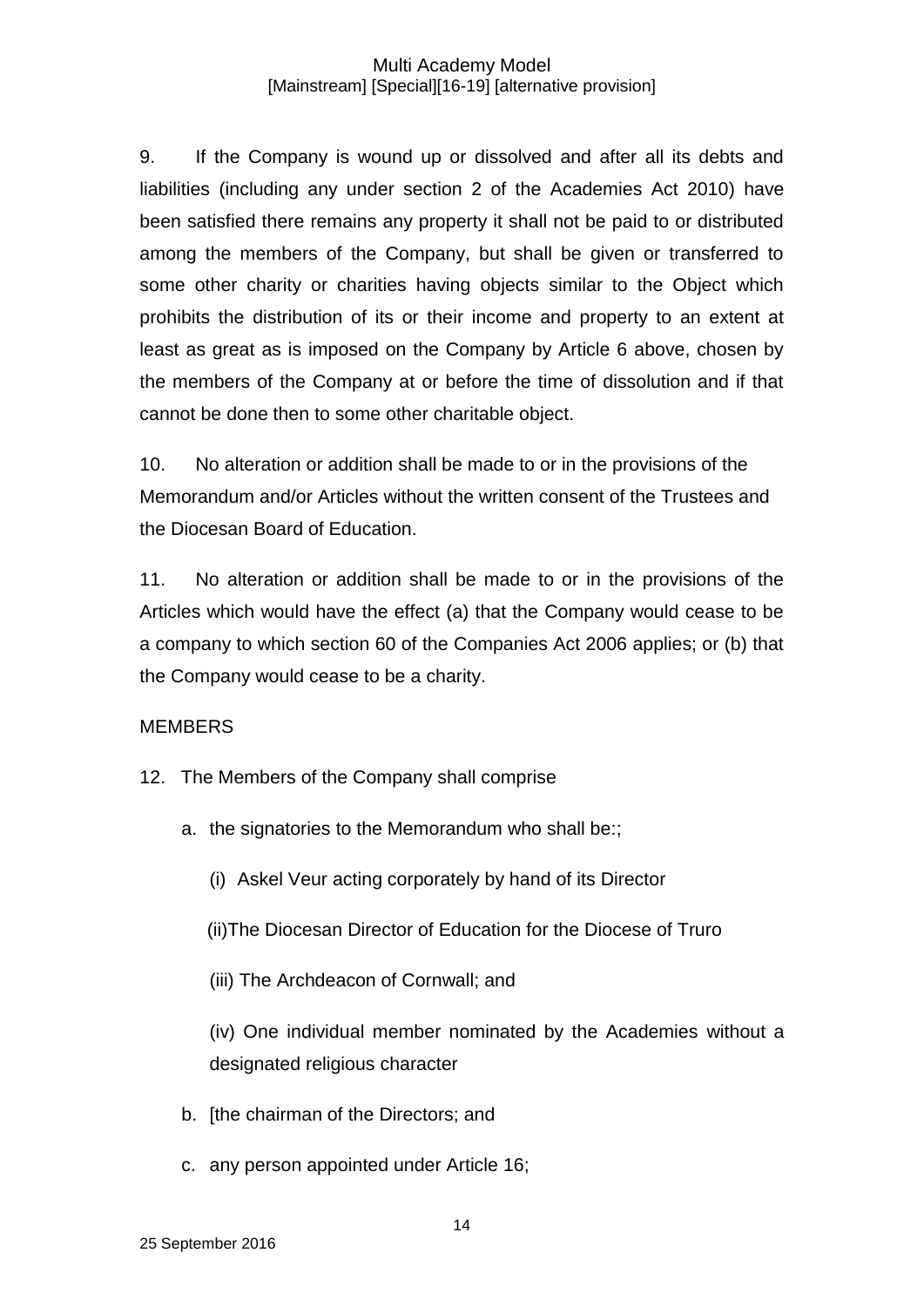9. If the Company is wound up or dissolved and after all its debts and liabilities (including any under section 2 of the Academies Act 2010) have been satisfied there remains any property it shall not be paid to or distributed among the members of the Company, but shall be given or transferred to some other charity or charities having objects similar to the Object which prohibits the distribution of its or their income and property to an extent at least as great as is imposed on the Company by Article 6 above, chosen by the members of the Company at or before the time of dissolution and if that cannot be done then to some other charitable object.

10. No alteration or addition shall be made to or in the provisions of the Memorandum and/or Articles without the written consent of the Trustees and the Diocesan Board of Education.

11. No alteration or addition shall be made to or in the provisions of the Articles which would have the effect (a) that the Company would cease to be a company to which section 60 of the Companies Act 2006 applies; or (b) that the Company would cease to be a charity.

## **MEMBERS**

- 12. The Members of the Company shall comprise
	- a. the signatories to the Memorandum who shall be::
		- (i) Askel Veur acting corporately by hand of its Director
		- (ii)The Diocesan Director of Education for the Diocese of Truro
		- (iii) The Archdeacon of Cornwall; and

(iv) One individual member nominated by the Academies without a designated religious character

- b. [the chairman of the Directors; and
- c. any person appointed under Article 16;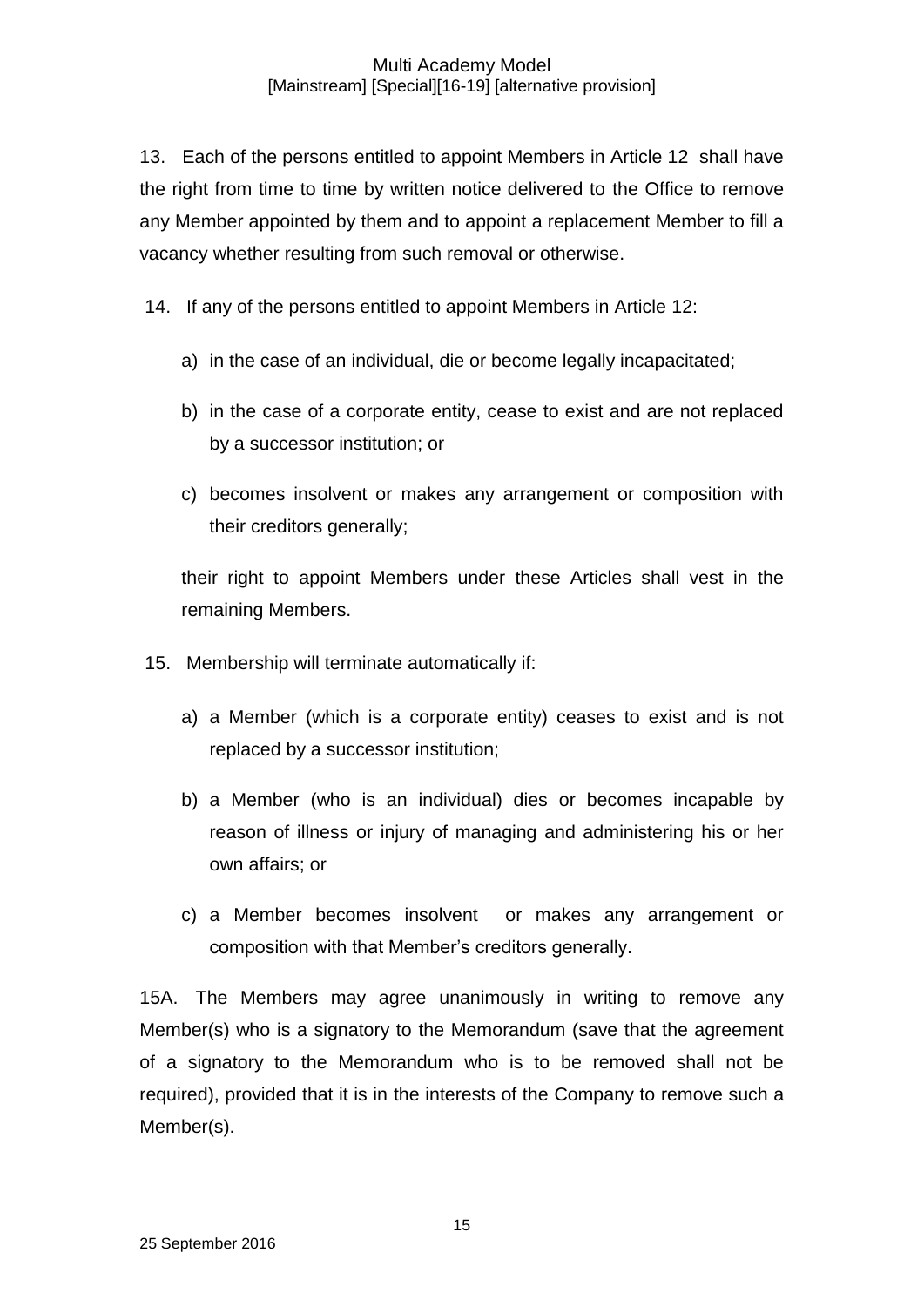13. Each of the persons entitled to appoint Members in Article 12 shall have the right from time to time by written notice delivered to the Office to remove any Member appointed by them and to appoint a replacement Member to fill a vacancy whether resulting from such removal or otherwise.

14. If any of the persons entitled to appoint Members in Article 12:

- a) in the case of an individual, die or become legally incapacitated;
- b) in the case of a corporate entity, cease to exist and are not replaced by a successor institution; or
- c) becomes insolvent or makes any arrangement or composition with their creditors generally;

their right to appoint Members under these Articles shall vest in the remaining Members.

- 15. Membership will terminate automatically if:
	- a) a Member (which is a corporate entity) ceases to exist and is not replaced by a successor institution;
	- b) a Member (who is an individual) dies or becomes incapable by reason of illness or injury of managing and administering his or her own affairs; or
	- c) a Member becomes insolvent or makes any arrangement or composition with that Member's creditors generally.

15A. The Members may agree unanimously in writing to remove any Member(s) who is a signatory to the Memorandum (save that the agreement of a signatory to the Memorandum who is to be removed shall not be required), provided that it is in the interests of the Company to remove such a Member(s).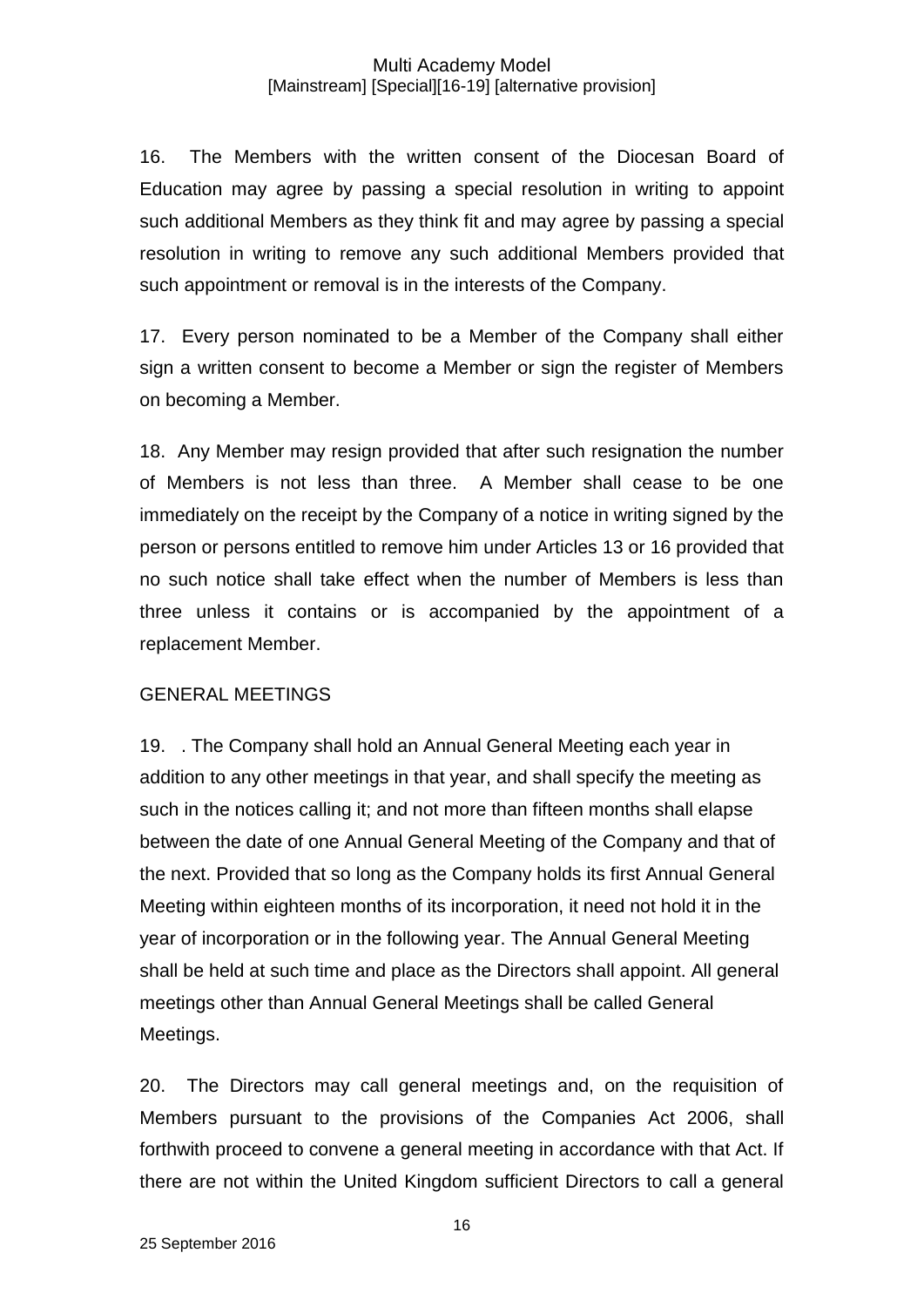16. The Members with the written consent of the Diocesan Board of Education may agree by passing a special resolution in writing to appoint such additional Members as they think fit and may agree by passing a special resolution in writing to remove any such additional Members provided that such appointment or removal is in the interests of the Company.

17. Every person nominated to be a Member of the Company shall either sign a written consent to become a Member or sign the register of Members on becoming a Member.

18. Any Member may resign provided that after such resignation the number of Members is not less than three. A Member shall cease to be one immediately on the receipt by the Company of a notice in writing signed by the person or persons entitled to remove him under Articles 13 or 16 provided that no such notice shall take effect when the number of Members is less than three unless it contains or is accompanied by the appointment of a replacement Member.

## GENERAL MEETINGS

19. . The Company shall hold an Annual General Meeting each year in addition to any other meetings in that year, and shall specify the meeting as such in the notices calling it; and not more than fifteen months shall elapse between the date of one Annual General Meeting of the Company and that of the next. Provided that so long as the Company holds its first Annual General Meeting within eighteen months of its incorporation, it need not hold it in the year of incorporation or in the following year. The Annual General Meeting shall be held at such time and place as the Directors shall appoint. All general meetings other than Annual General Meetings shall be called General Meetings.

20. The Directors may call general meetings and, on the requisition of Members pursuant to the provisions of the Companies Act 2006, shall forthwith proceed to convene a general meeting in accordance with that Act. If there are not within the United Kingdom sufficient Directors to call a general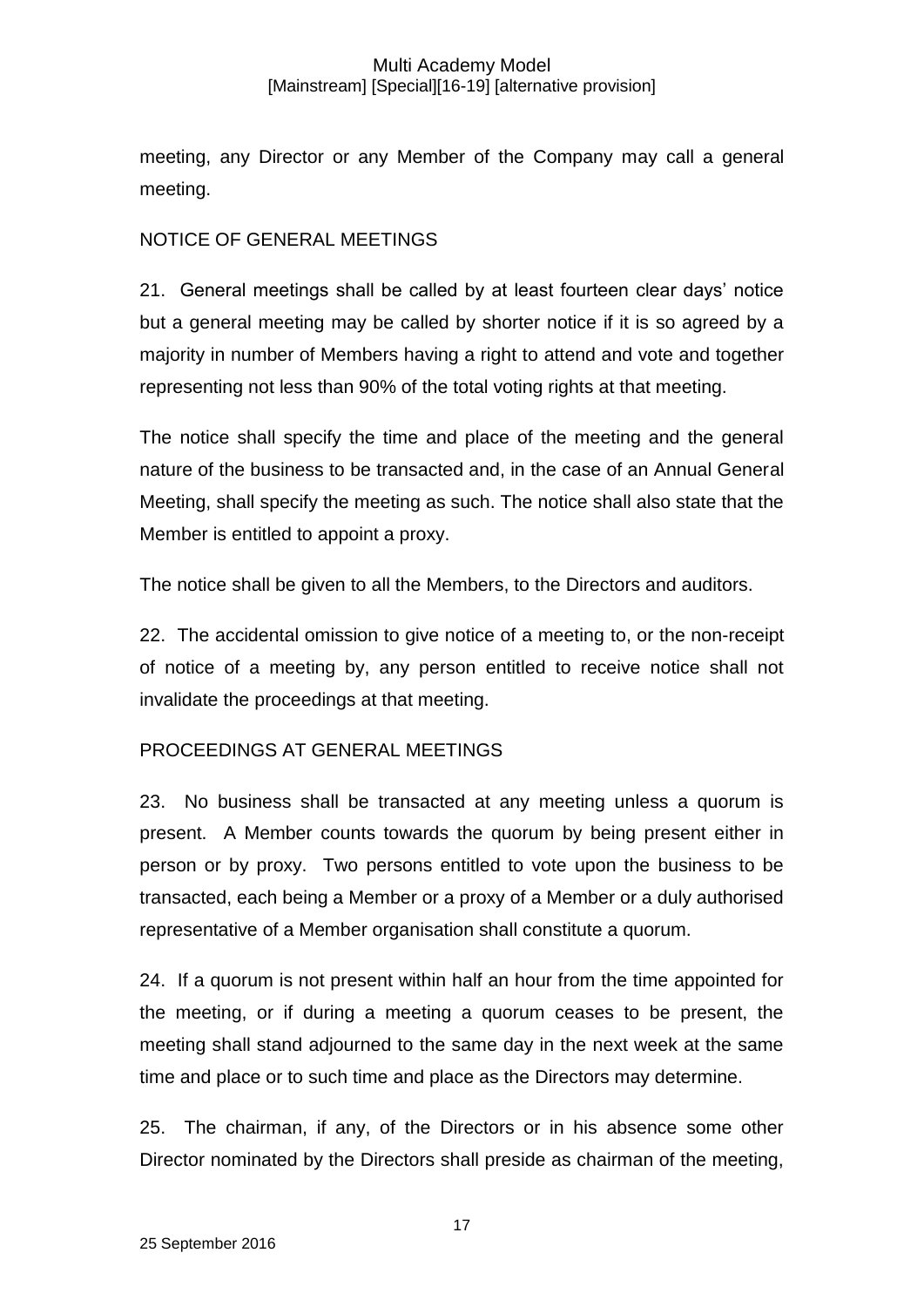meeting, any Director or any Member of the Company may call a general meeting.

## NOTICE OF GENERAL MEETINGS

21. General meetings shall be called by at least fourteen clear days' notice but a general meeting may be called by shorter notice if it is so agreed by a majority in number of Members having a right to attend and vote and together representing not less than 90% of the total voting rights at that meeting.

The notice shall specify the time and place of the meeting and the general nature of the business to be transacted and, in the case of an Annual General Meeting, shall specify the meeting as such. The notice shall also state that the Member is entitled to appoint a proxy.

The notice shall be given to all the Members, to the Directors and auditors.

22. The accidental omission to give notice of a meeting to, or the non-receipt of notice of a meeting by, any person entitled to receive notice shall not invalidate the proceedings at that meeting.

## PROCEEDINGS AT GENERAL MEETINGS

23. No business shall be transacted at any meeting unless a quorum is present. A Member counts towards the quorum by being present either in person or by proxy. Two persons entitled to vote upon the business to be transacted, each being a Member or a proxy of a Member or a duly authorised representative of a Member organisation shall constitute a quorum.

24. If a quorum is not present within half an hour from the time appointed for the meeting, or if during a meeting a quorum ceases to be present, the meeting shall stand adjourned to the same day in the next week at the same time and place or to such time and place as the Directors may determine.

25. The chairman, if any, of the Directors or in his absence some other Director nominated by the Directors shall preside as chairman of the meeting,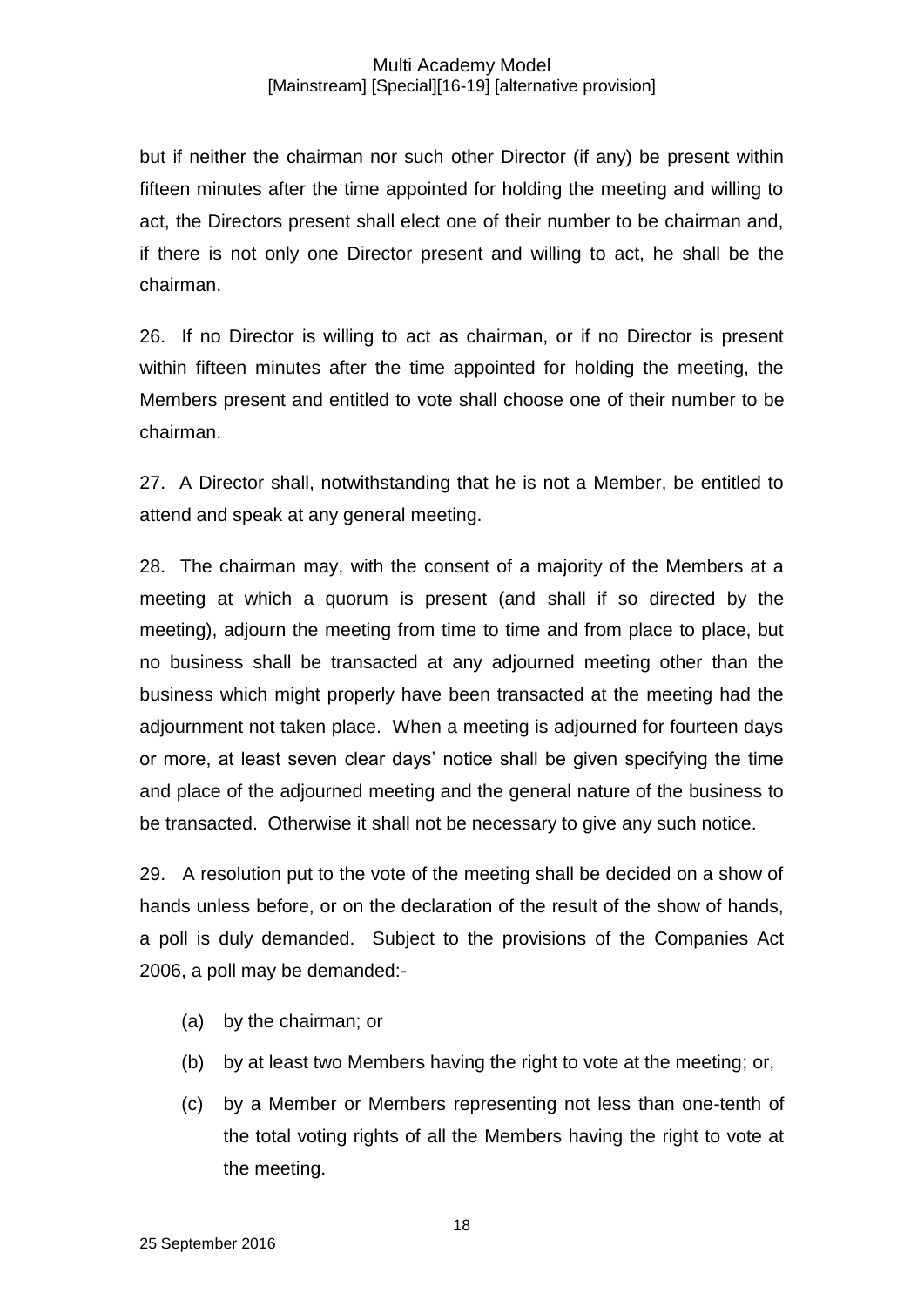but if neither the chairman nor such other Director (if any) be present within fifteen minutes after the time appointed for holding the meeting and willing to act, the Directors present shall elect one of their number to be chairman and, if there is not only one Director present and willing to act, he shall be the chairman.

26. If no Director is willing to act as chairman, or if no Director is present within fifteen minutes after the time appointed for holding the meeting, the Members present and entitled to vote shall choose one of their number to be chairman.

27. A Director shall, notwithstanding that he is not a Member, be entitled to attend and speak at any general meeting.

28. The chairman may, with the consent of a majority of the Members at a meeting at which a quorum is present (and shall if so directed by the meeting), adjourn the meeting from time to time and from place to place, but no business shall be transacted at any adjourned meeting other than the business which might properly have been transacted at the meeting had the adjournment not taken place. When a meeting is adjourned for fourteen days or more, at least seven clear days' notice shall be given specifying the time and place of the adjourned meeting and the general nature of the business to be transacted. Otherwise it shall not be necessary to give any such notice.

29. A resolution put to the vote of the meeting shall be decided on a show of hands unless before, or on the declaration of the result of the show of hands, a poll is duly demanded. Subject to the provisions of the Companies Act 2006, a poll may be demanded:-

- (a) by the chairman; or
- (b) by at least two Members having the right to vote at the meeting; or,
- (c) by a Member or Members representing not less than one-tenth of the total voting rights of all the Members having the right to vote at the meeting.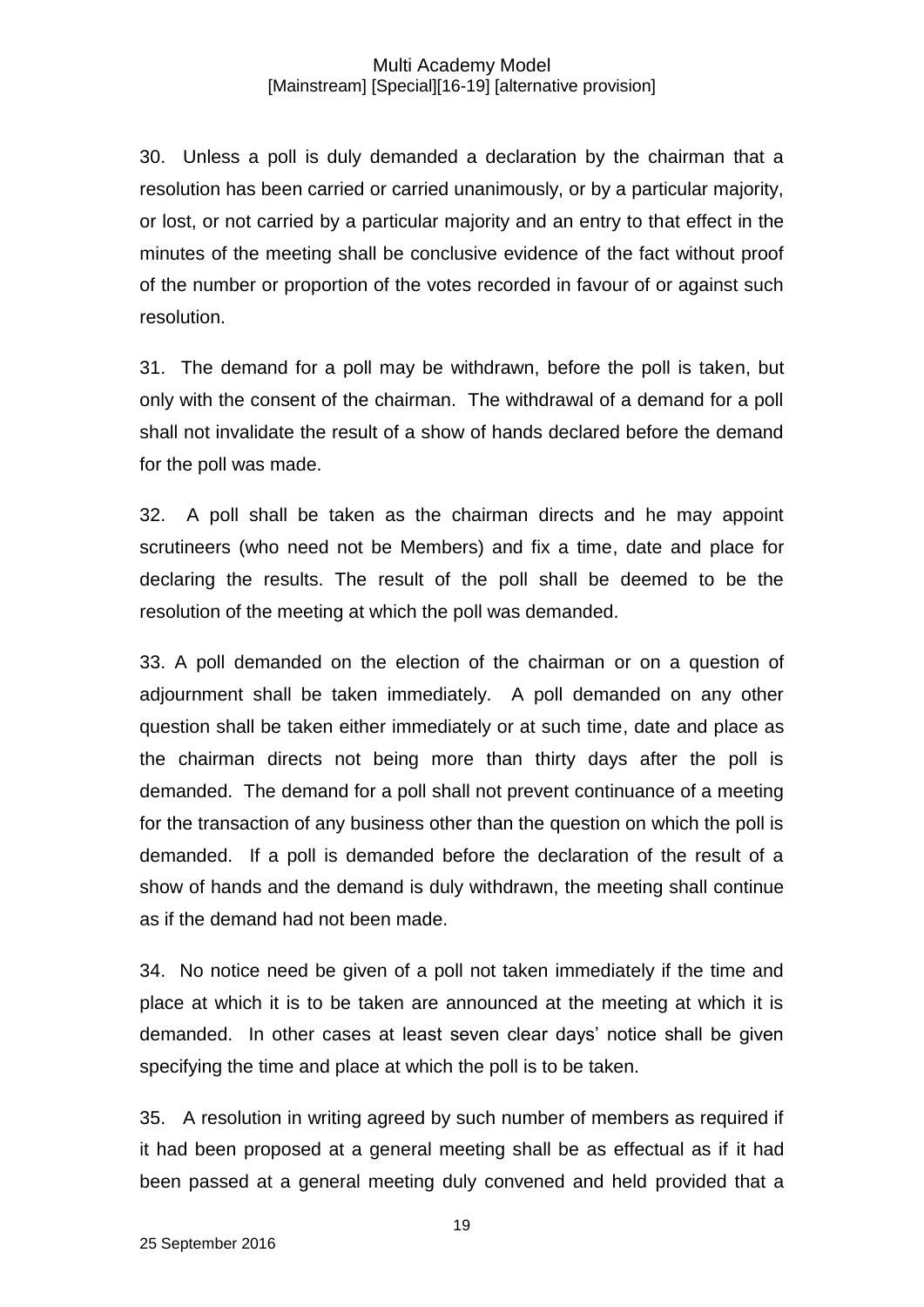30. Unless a poll is duly demanded a declaration by the chairman that a resolution has been carried or carried unanimously, or by a particular majority, or lost, or not carried by a particular majority and an entry to that effect in the minutes of the meeting shall be conclusive evidence of the fact without proof of the number or proportion of the votes recorded in favour of or against such resolution.

31. The demand for a poll may be withdrawn, before the poll is taken, but only with the consent of the chairman. The withdrawal of a demand for a poll shall not invalidate the result of a show of hands declared before the demand for the poll was made.

32. A poll shall be taken as the chairman directs and he may appoint scrutineers (who need not be Members) and fix a time, date and place for declaring the results. The result of the poll shall be deemed to be the resolution of the meeting at which the poll was demanded.

33. A poll demanded on the election of the chairman or on a question of adjournment shall be taken immediately. A poll demanded on any other question shall be taken either immediately or at such time, date and place as the chairman directs not being more than thirty days after the poll is demanded. The demand for a poll shall not prevent continuance of a meeting for the transaction of any business other than the question on which the poll is demanded. If a poll is demanded before the declaration of the result of a show of hands and the demand is duly withdrawn, the meeting shall continue as if the demand had not been made.

34. No notice need be given of a poll not taken immediately if the time and place at which it is to be taken are announced at the meeting at which it is demanded. In other cases at least seven clear days' notice shall be given specifying the time and place at which the poll is to be taken.

35. A resolution in writing agreed by such number of members as required if it had been proposed at a general meeting shall be as effectual as if it had been passed at a general meeting duly convened and held provided that a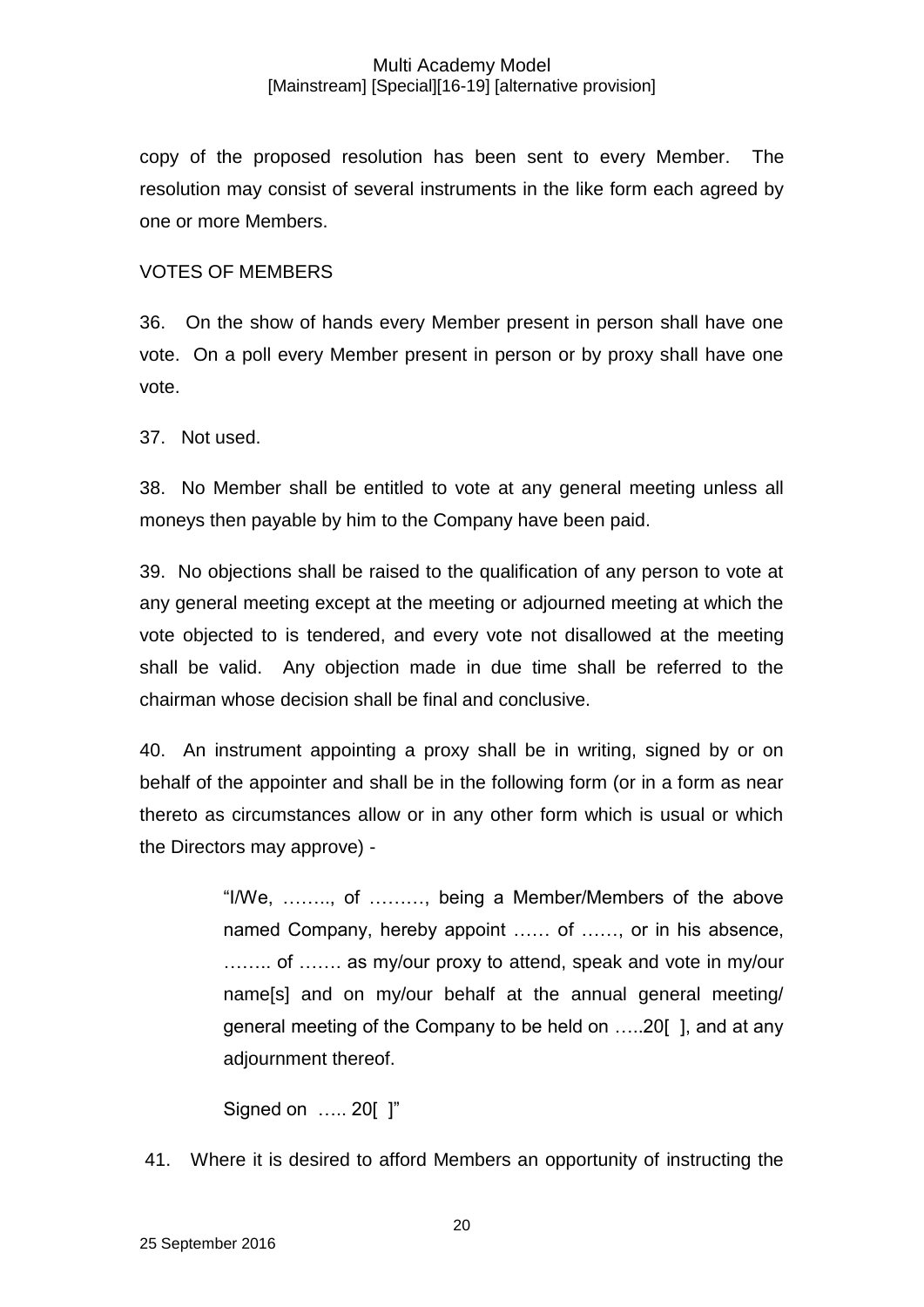copy of the proposed resolution has been sent to every Member. The resolution may consist of several instruments in the like form each agreed by one or more Members.

## VOTES OF MEMBERS

36. On the show of hands every Member present in person shall have one vote. On a poll every Member present in person or by proxy shall have one vote.

37. Not used.

38. No Member shall be entitled to vote at any general meeting unless all moneys then payable by him to the Company have been paid.

39. No objections shall be raised to the qualification of any person to vote at any general meeting except at the meeting or adjourned meeting at which the vote objected to is tendered, and every vote not disallowed at the meeting shall be valid. Any objection made in due time shall be referred to the chairman whose decision shall be final and conclusive.

40. An instrument appointing a proxy shall be in writing, signed by or on behalf of the appointer and shall be in the following form (or in a form as near thereto as circumstances allow or in any other form which is usual or which the Directors may approve) -

> "I/We, …….., of ………, being a Member/Members of the above named Company, hereby appoint …… of ……, or in his absence, …….. of ……. as my/our proxy to attend, speak and vote in my/our name[s] and on my/our behalf at the annual general meeting/ general meeting of the Company to be held on …..20[ ], and at any adjournment thereof.

Signed on ….. 20[ ]"

41. Where it is desired to afford Members an opportunity of instructing the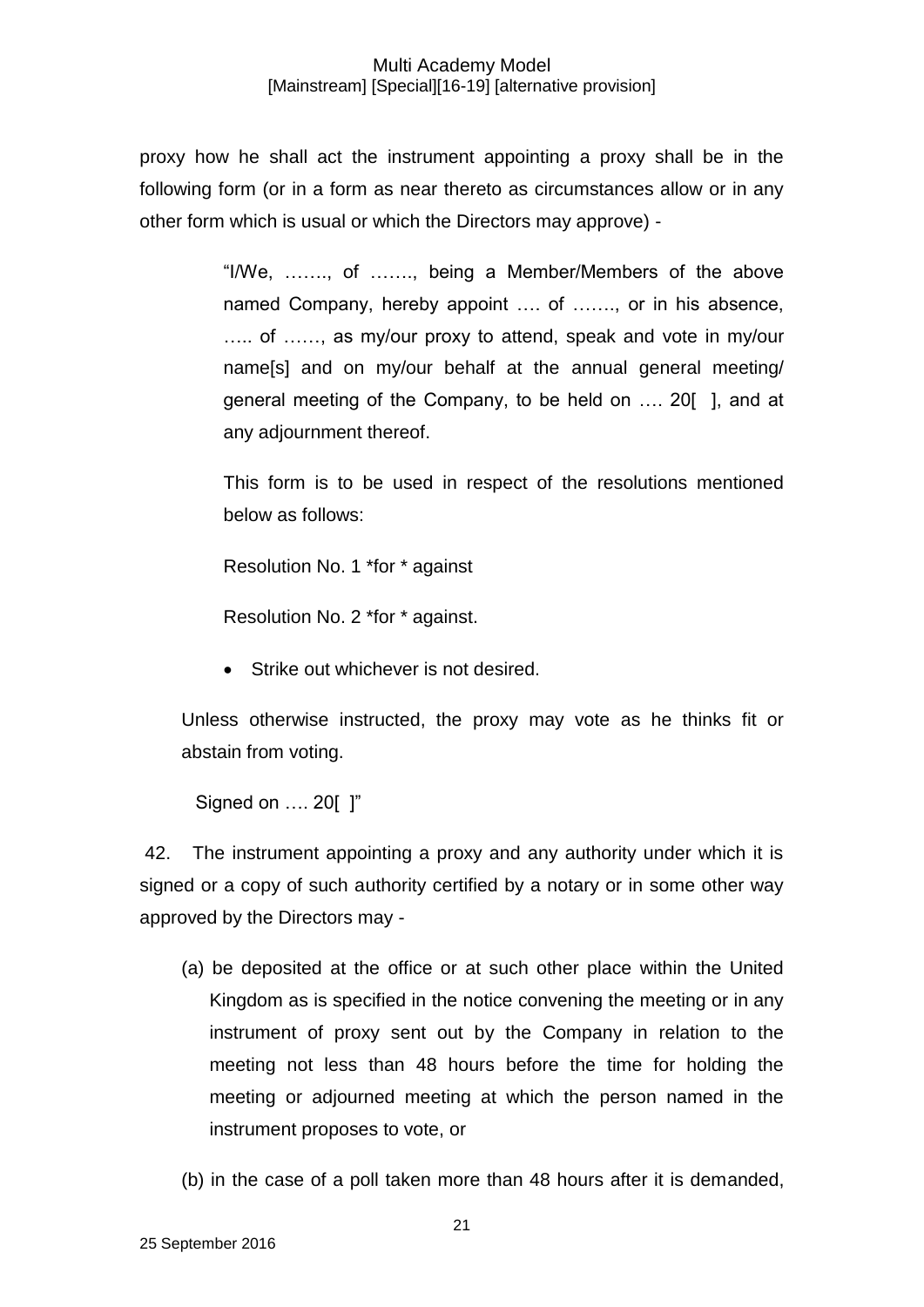proxy how he shall act the instrument appointing a proxy shall be in the following form (or in a form as near thereto as circumstances allow or in any other form which is usual or which the Directors may approve) -

> "I/We, ……., of ……., being a Member/Members of the above named Company, hereby appoint .... of ......., or in his absence, ….. of ……, as my/our proxy to attend, speak and vote in my/our name[s] and on my/our behalf at the annual general meeting/ general meeting of the Company, to be held on …. 20[ ], and at any adjournment thereof.

> This form is to be used in respect of the resolutions mentioned below as follows:

Resolution No. 1 \*for \* against

Resolution No. 2 \*for \* against.

• Strike out whichever is not desired.

Unless otherwise instructed, the proxy may vote as he thinks fit or abstain from voting.

Signed on …. 20[ ]"

42. The instrument appointing a proxy and any authority under which it is signed or a copy of such authority certified by a notary or in some other way approved by the Directors may -

- (a) be deposited at the office or at such other place within the United Kingdom as is specified in the notice convening the meeting or in any instrument of proxy sent out by the Company in relation to the meeting not less than 48 hours before the time for holding the meeting or adjourned meeting at which the person named in the instrument proposes to vote, or
- (b) in the case of a poll taken more than 48 hours after it is demanded,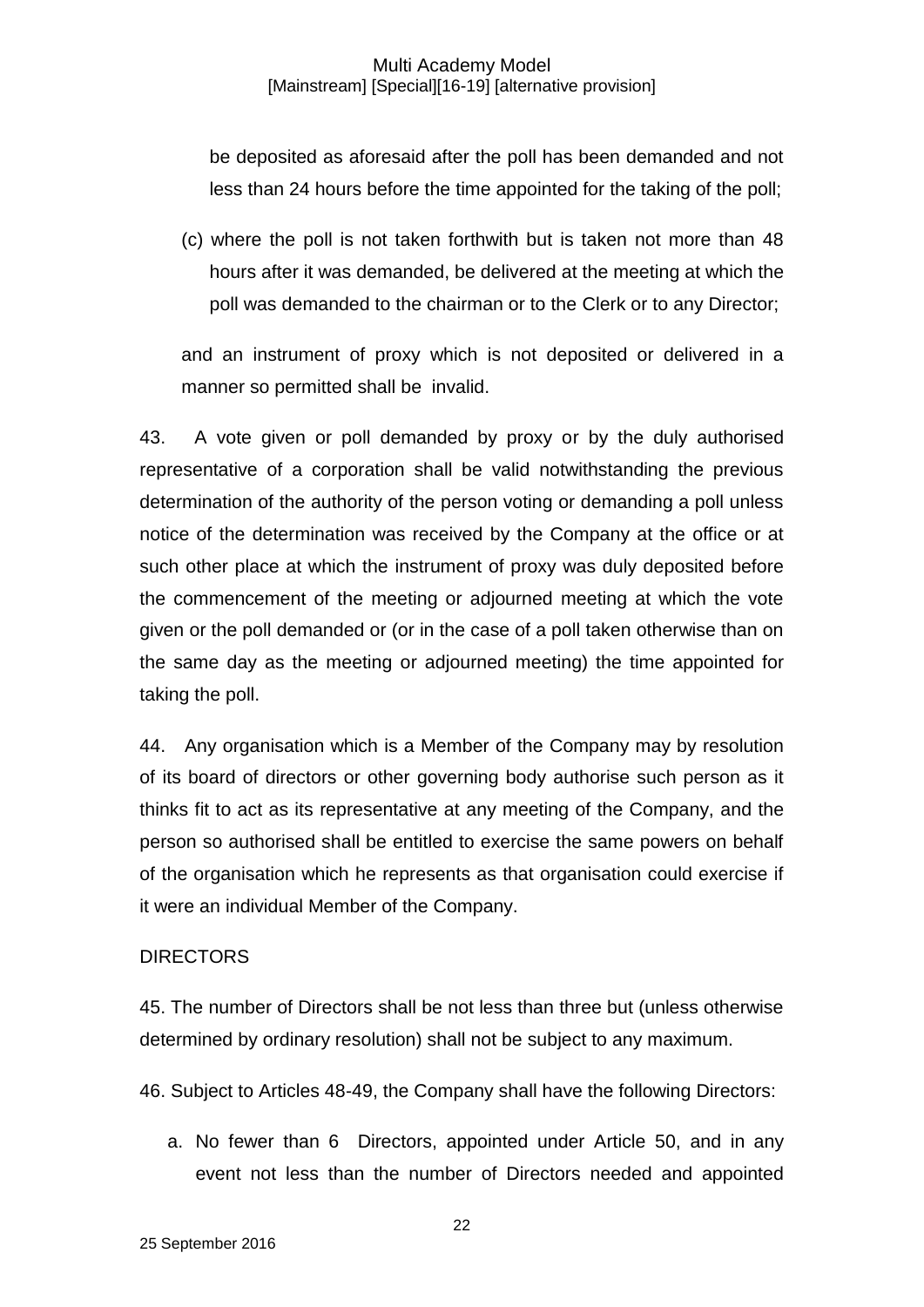be deposited as aforesaid after the poll has been demanded and not less than 24 hours before the time appointed for the taking of the poll;

(c) where the poll is not taken forthwith but is taken not more than 48 hours after it was demanded, be delivered at the meeting at which the poll was demanded to the chairman or to the Clerk or to any Director;

and an instrument of proxy which is not deposited or delivered in a manner so permitted shall be invalid.

43. A vote given or poll demanded by proxy or by the duly authorised representative of a corporation shall be valid notwithstanding the previous determination of the authority of the person voting or demanding a poll unless notice of the determination was received by the Company at the office or at such other place at which the instrument of proxy was duly deposited before the commencement of the meeting or adjourned meeting at which the vote given or the poll demanded or (or in the case of a poll taken otherwise than on the same day as the meeting or adjourned meeting) the time appointed for taking the poll.

44. Any organisation which is a Member of the Company may by resolution of its board of directors or other governing body authorise such person as it thinks fit to act as its representative at any meeting of the Company, and the person so authorised shall be entitled to exercise the same powers on behalf of the organisation which he represents as that organisation could exercise if it were an individual Member of the Company.

### **DIRECTORS**

45. The number of Directors shall be not less than three but (unless otherwise determined by ordinary resolution) shall not be subject to any maximum.

46. Subject to Articles 48-49, the Company shall have the following Directors:

a. No fewer than 6 Directors, appointed under Article 50, and in any event not less than the number of Directors needed and appointed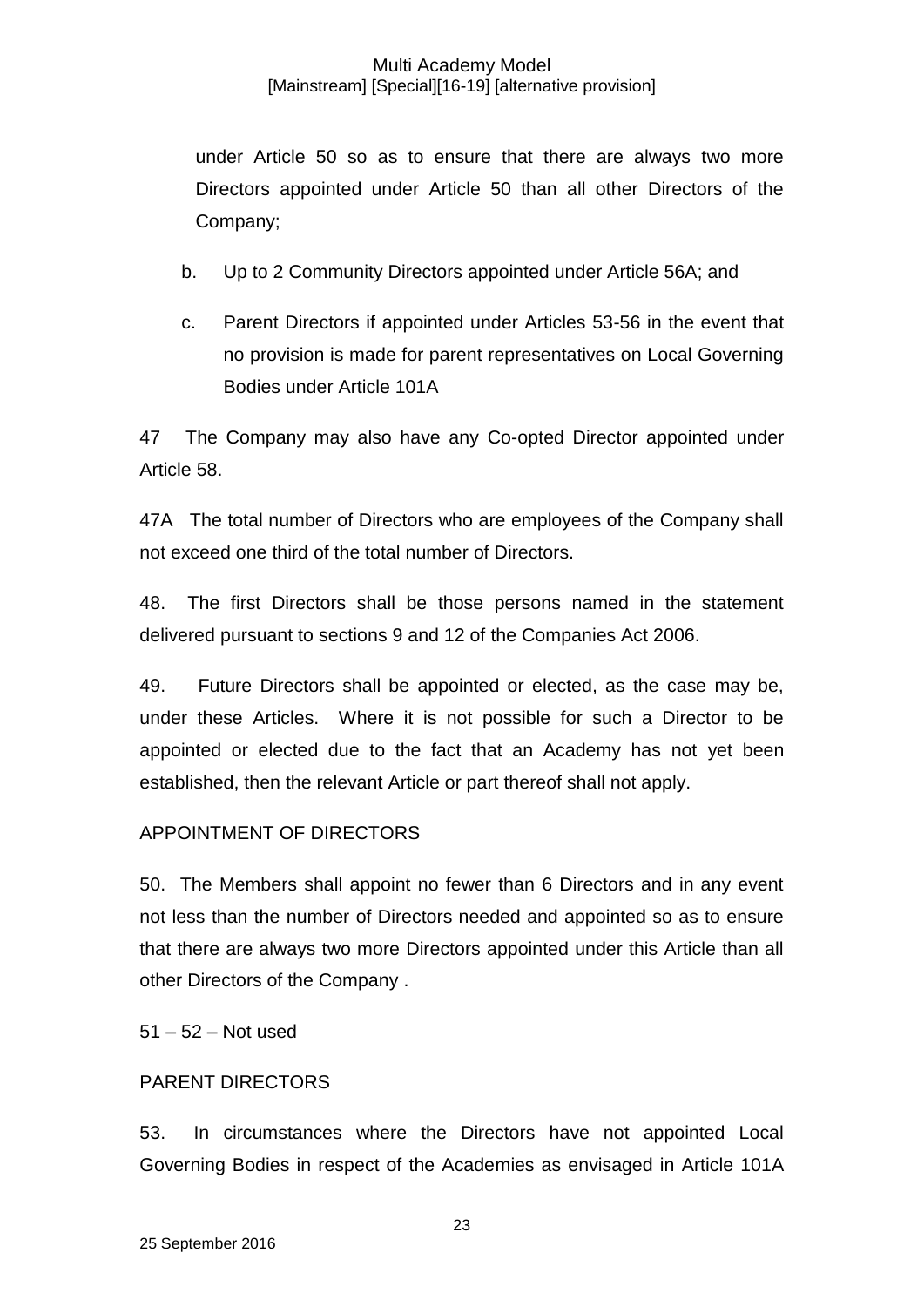under Article 50 so as to ensure that there are always two more Directors appointed under Article 50 than all other Directors of the Company;

- b. Up to 2 Community Directors appointed under Article 56A; and
- c. Parent Directors if appointed under Articles 53-56 in the event that no provision is made for parent representatives on Local Governing Bodies under Article 101A

47 The Company may also have any Co-opted Director appointed under Article 58.

47A The total number of Directors who are employees of the Company shall not exceed one third of the total number of Directors.

48. The first Directors shall be those persons named in the statement delivered pursuant to sections 9 and 12 of the Companies Act 2006.

49. Future Directors shall be appointed or elected, as the case may be, under these Articles. Where it is not possible for such a Director to be appointed or elected due to the fact that an Academy has not yet been established, then the relevant Article or part thereof shall not apply.

## APPOINTMENT OF DIRECTORS

50. The Members shall appoint no fewer than 6 Directors and in any event not less than the number of Directors needed and appointed so as to ensure that there are always two more Directors appointed under this Article than all other Directors of the Company .

51 – 52 – Not used

## PARENT DIRECTORS

53. In circumstances where the Directors have not appointed Local Governing Bodies in respect of the Academies as envisaged in Article 101A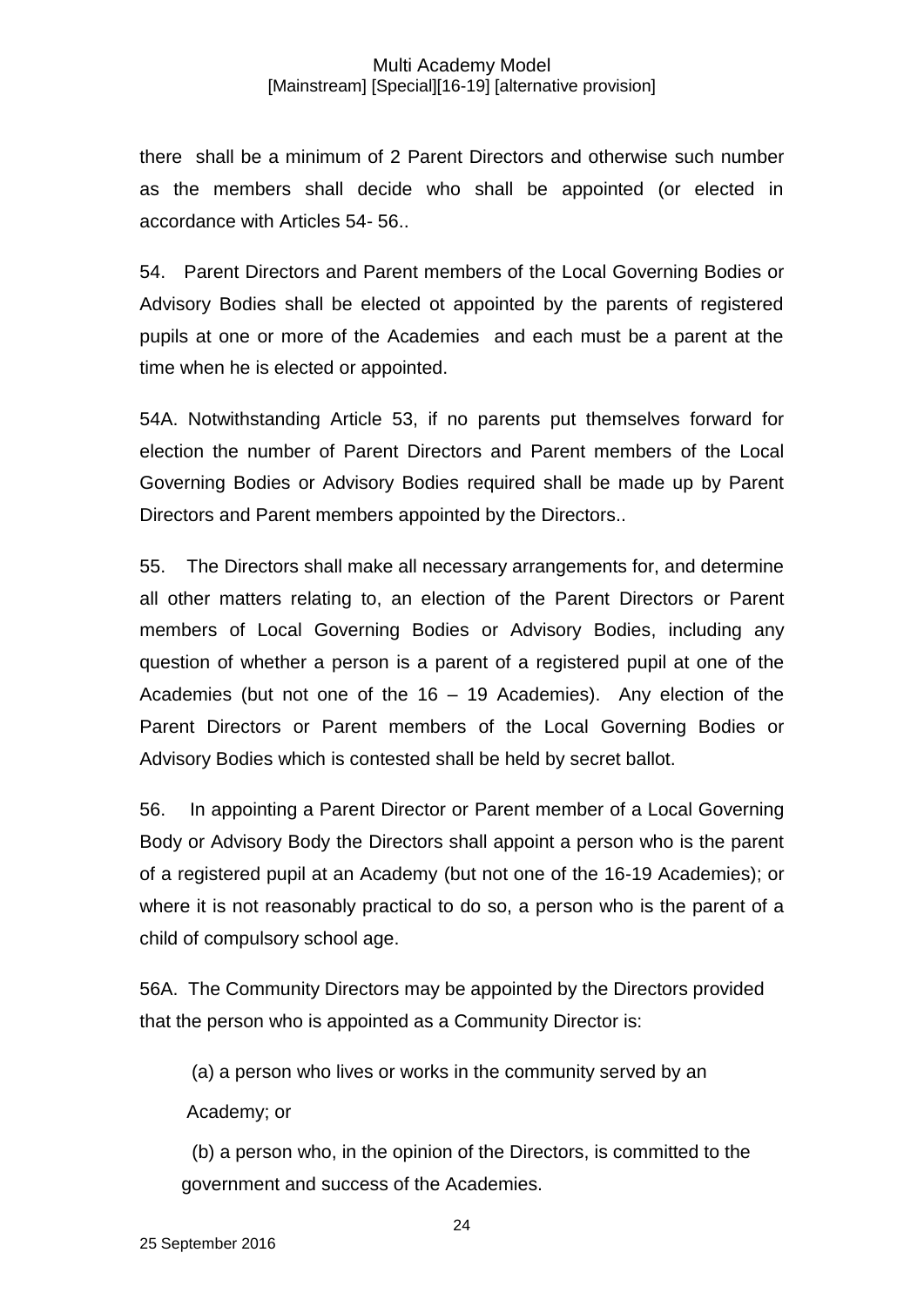there shall be a minimum of 2 Parent Directors and otherwise such number as the members shall decide who shall be appointed (or elected in accordance with Articles 54- 56..

54. Parent Directors and Parent members of the Local Governing Bodies or Advisory Bodies shall be elected ot appointed by the parents of registered pupils at one or more of the Academies and each must be a parent at the time when he is elected or appointed.

54A. Notwithstanding Article 53, if no parents put themselves forward for election the number of Parent Directors and Parent members of the Local Governing Bodies or Advisory Bodies required shall be made up by Parent Directors and Parent members appointed by the Directors..

55. The Directors shall make all necessary arrangements for, and determine all other matters relating to, an election of the Parent Directors or Parent members of Local Governing Bodies or Advisory Bodies, including any question of whether a person is a parent of a registered pupil at one of the Academies (but not one of the  $16 - 19$  Academies). Any election of the Parent Directors or Parent members of the Local Governing Bodies or Advisory Bodies which is contested shall be held by secret ballot.

56. In appointing a Parent Director or Parent member of a Local Governing Body or Advisory Body the Directors shall appoint a person who is the parent of a registered pupil at an Academy (but not one of the 16-19 Academies); or where it is not reasonably practical to do so, a person who is the parent of a child of compulsory school age.

56A. The Community Directors may be appointed by the Directors provided that the person who is appointed as a Community Director is:

(a) a person who lives or works in the community served by an

Academy; or

 (b) a person who, in the opinion of the Directors, is committed to the government and success of the Academies.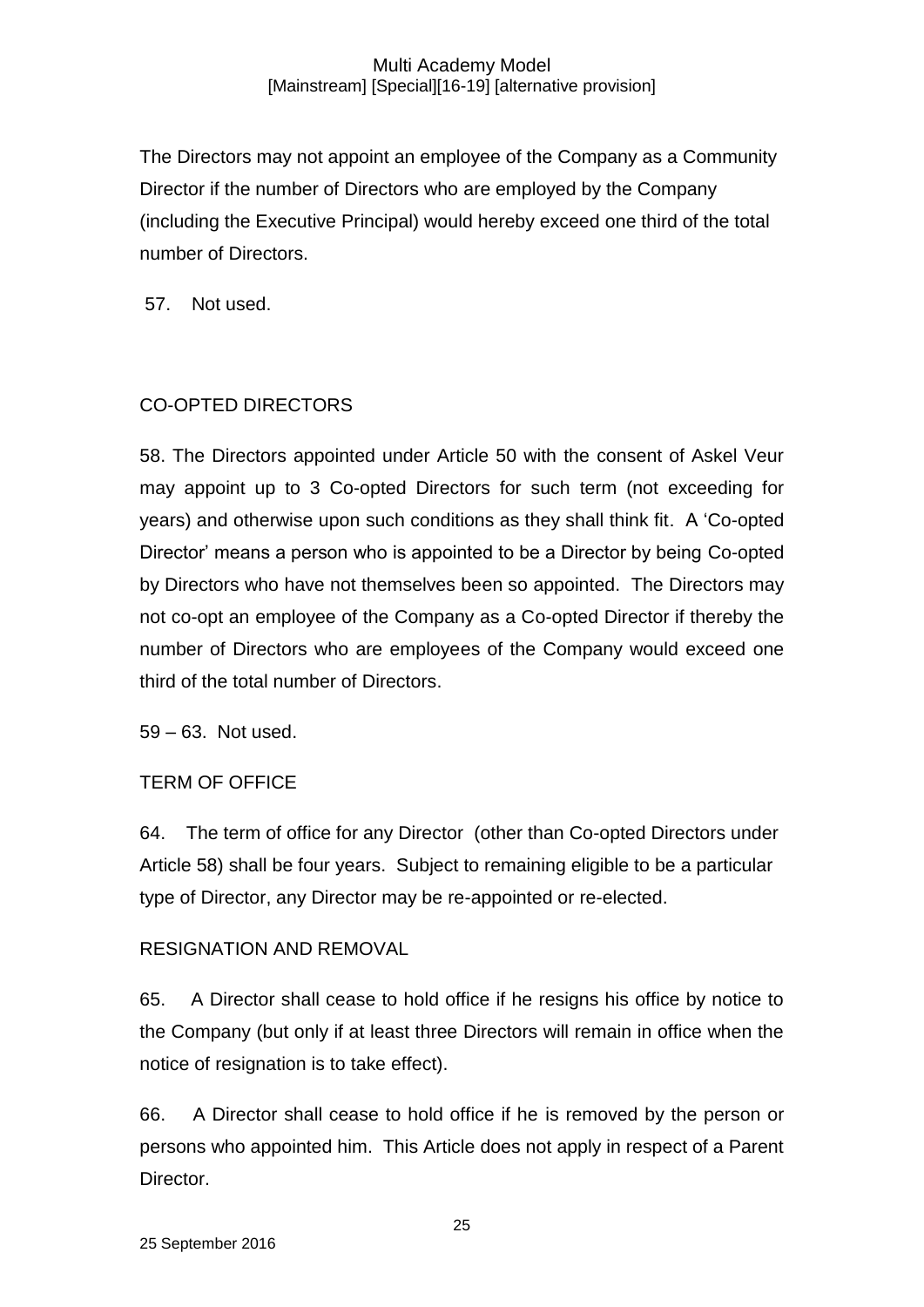The Directors may not appoint an employee of the Company as a Community Director if the number of Directors who are employed by the Company (including the Executive Principal) would hereby exceed one third of the total number of Directors.

57. Not used.

## CO-OPTED DIRECTORS

58. The Directors appointed under Article 50 with the consent of Askel Veur may appoint up to 3 Co-opted Directors for such term (not exceeding for years) and otherwise upon such conditions as they shall think fit. A 'Co-opted Director' means a person who is appointed to be a Director by being Co-opted by Directors who have not themselves been so appointed. The Directors may not co-opt an employee of the Company as a Co-opted Director if thereby the number of Directors who are employees of the Company would exceed one third of the total number of Directors.

59 – 63. Not used.

## TERM OF OFFICE

64. The term of office for any Director (other than Co-opted Directors under Article 58) shall be four years. Subject to remaining eligible to be a particular type of Director, any Director may be re-appointed or re-elected.

## RESIGNATION AND REMOVAL

65. A Director shall cease to hold office if he resigns his office by notice to the Company (but only if at least three Directors will remain in office when the notice of resignation is to take effect).

66. A Director shall cease to hold office if he is removed by the person or persons who appointed him. This Article does not apply in respect of a Parent Director.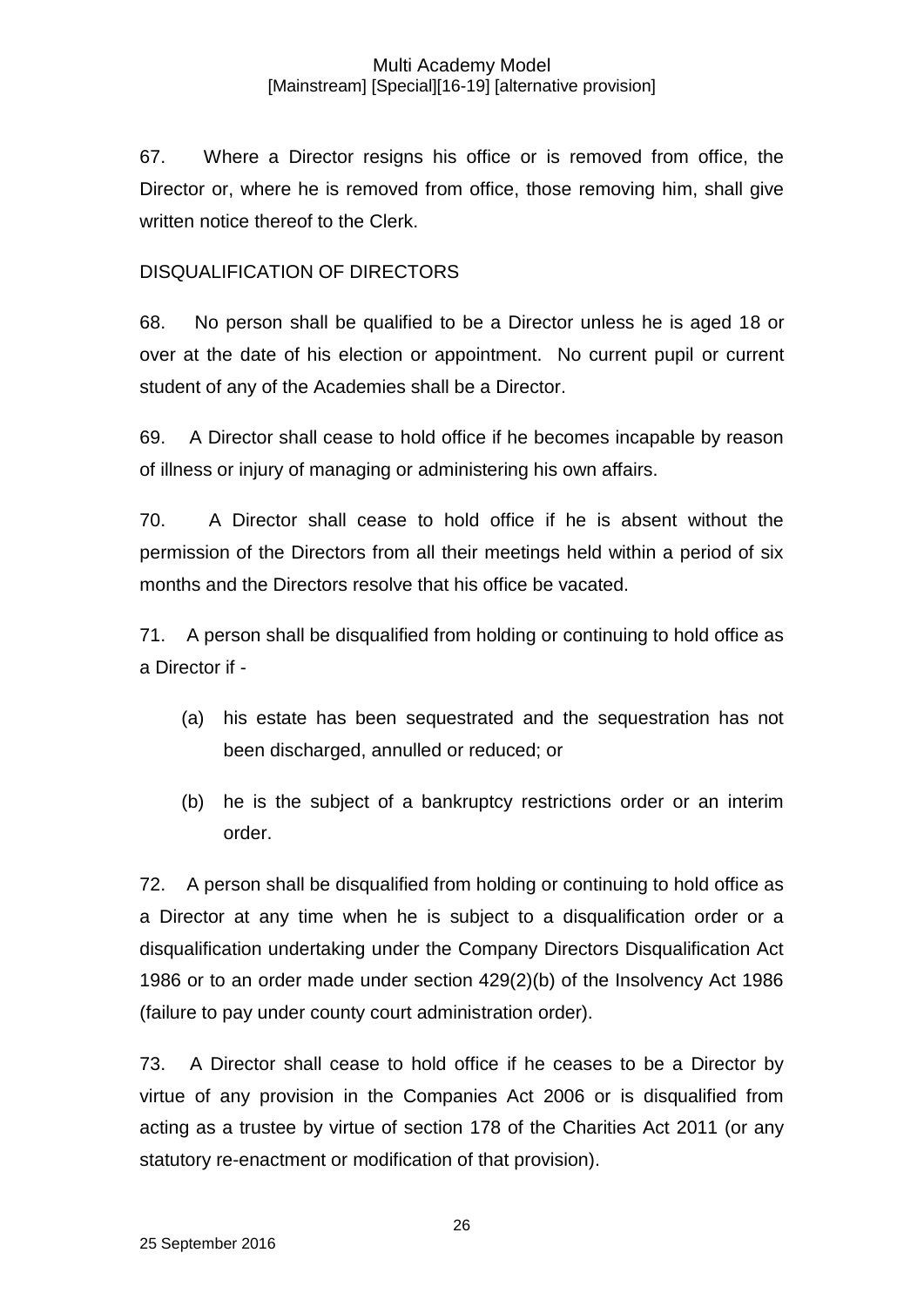67. Where a Director resigns his office or is removed from office, the Director or, where he is removed from office, those removing him, shall give written notice thereof to the Clerk.

## DISQUALIFICATION OF DIRECTORS

68. No person shall be qualified to be a Director unless he is aged 18 or over at the date of his election or appointment. No current pupil or current student of any of the Academies shall be a Director.

69. A Director shall cease to hold office if he becomes incapable by reason of illness or injury of managing or administering his own affairs.

70. A Director shall cease to hold office if he is absent without the permission of the Directors from all their meetings held within a period of six months and the Directors resolve that his office be vacated.

71. A person shall be disqualified from holding or continuing to hold office as a Director if -

- (a) his estate has been sequestrated and the sequestration has not been discharged, annulled or reduced; or
- (b) he is the subject of a bankruptcy restrictions order or an interim order.

72. A person shall be disqualified from holding or continuing to hold office as a Director at any time when he is subject to a disqualification order or a disqualification undertaking under the Company Directors Disqualification Act 1986 or to an order made under section 429(2)(b) of the Insolvency Act 1986 (failure to pay under county court administration order).

73. A Director shall cease to hold office if he ceases to be a Director by virtue of any provision in the Companies Act 2006 or is disqualified from acting as a trustee by virtue of section 178 of the Charities Act 2011 (or any statutory re-enactment or modification of that provision).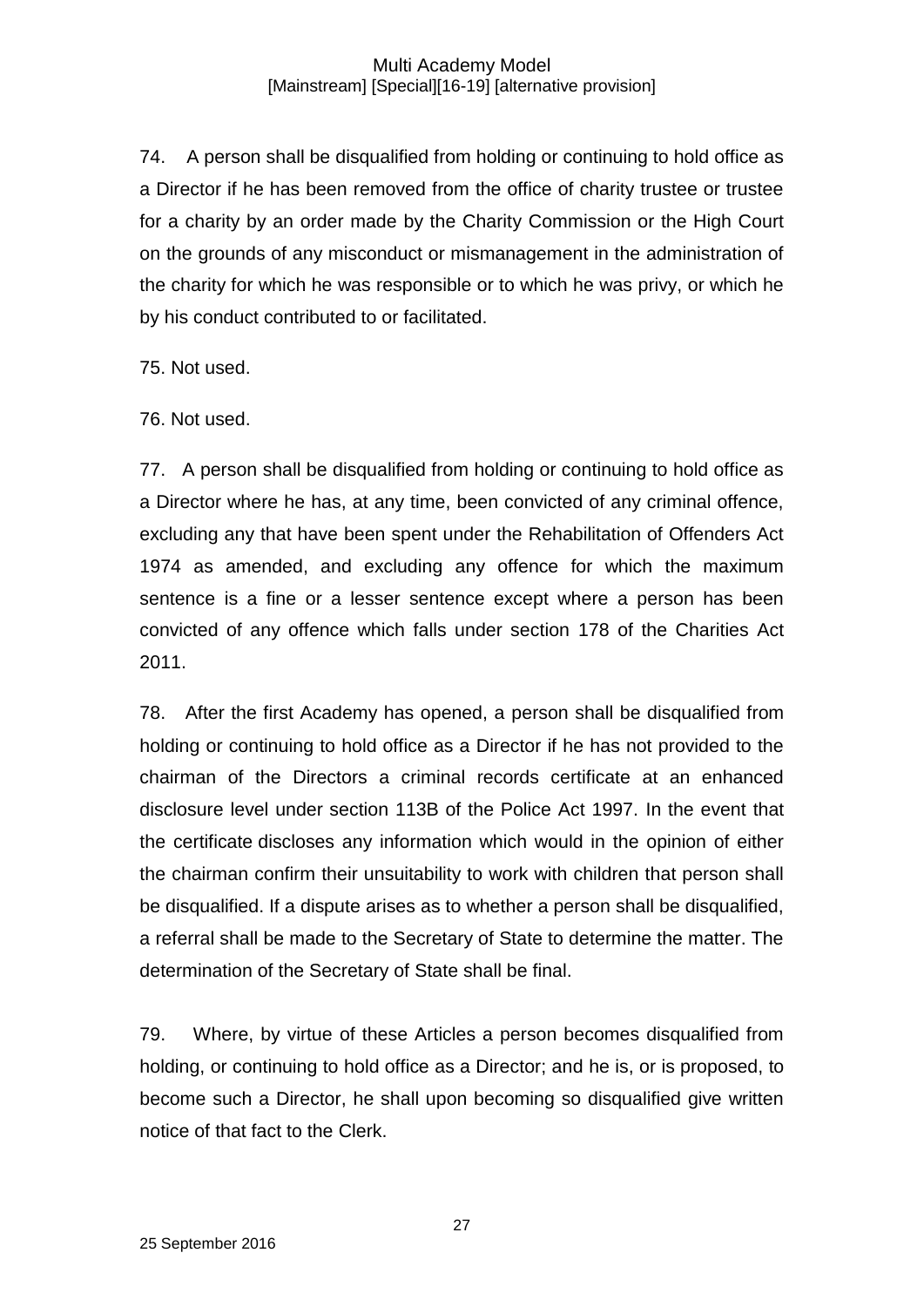74. A person shall be disqualified from holding or continuing to hold office as a Director if he has been removed from the office of charity trustee or trustee for a charity by an order made by the Charity Commission or the High Court on the grounds of any misconduct or mismanagement in the administration of the charity for which he was responsible or to which he was privy, or which he by his conduct contributed to or facilitated.

75. Not used.

76. Not used.

77. A person shall be disqualified from holding or continuing to hold office as a Director where he has, at any time, been convicted of any criminal offence, excluding any that have been spent under the Rehabilitation of Offenders Act 1974 as amended, and excluding any offence for which the maximum sentence is a fine or a lesser sentence except where a person has been convicted of any offence which falls under section 178 of the Charities Act 2011.

78. After the first Academy has opened, a person shall be disqualified from holding or continuing to hold office as a Director if he has not provided to the chairman of the Directors a criminal records certificate at an enhanced disclosure level under section 113B of the Police Act 1997. In the event that the certificate discloses any information which would in the opinion of either the chairman confirm their unsuitability to work with children that person shall be disqualified. If a dispute arises as to whether a person shall be disqualified, a referral shall be made to the Secretary of State to determine the matter. The determination of the Secretary of State shall be final.

79. Where, by virtue of these Articles a person becomes disqualified from holding, or continuing to hold office as a Director; and he is, or is proposed, to become such a Director, he shall upon becoming so disqualified give written notice of that fact to the Clerk.

27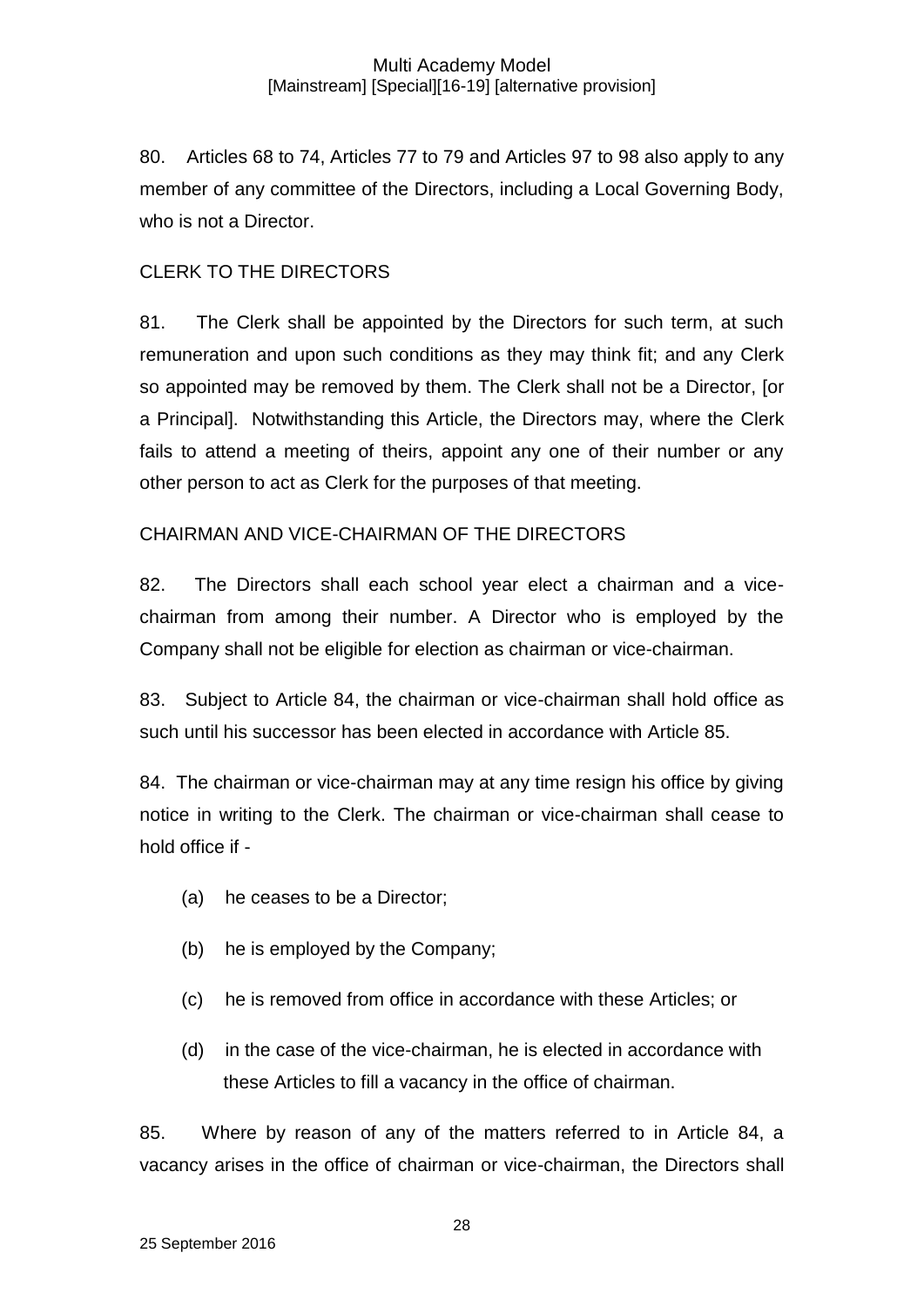80. Articles 68 to 74, Articles 77 to 79 and Articles 97 to 98 also apply to any member of any committee of the Directors, including a Local Governing Body, who is not a Director.

## CLERK TO THE DIRECTORS

81. The Clerk shall be appointed by the Directors for such term, at such remuneration and upon such conditions as they may think fit; and any Clerk so appointed may be removed by them. The Clerk shall not be a Director, [or a Principal]. Notwithstanding this Article, the Directors may, where the Clerk fails to attend a meeting of theirs, appoint any one of their number or any other person to act as Clerk for the purposes of that meeting.

## CHAIRMAN AND VICE-CHAIRMAN OF THE DIRECTORS

82. The Directors shall each school year elect a chairman and a vicechairman from among their number. A Director who is employed by the Company shall not be eligible for election as chairman or vice-chairman.

83. Subject to Article 84, the chairman or vice-chairman shall hold office as such until his successor has been elected in accordance with Article 85.

84. The chairman or vice-chairman may at any time resign his office by giving notice in writing to the Clerk. The chairman or vice-chairman shall cease to hold office if -

- (a) he ceases to be a Director;
- (b) he is employed by the Company;
- (c) he is removed from office in accordance with these Articles; or
- (d) in the case of the vice-chairman, he is elected in accordance with these Articles to fill a vacancy in the office of chairman.

85. Where by reason of any of the matters referred to in Article 84, a vacancy arises in the office of chairman or vice-chairman, the Directors shall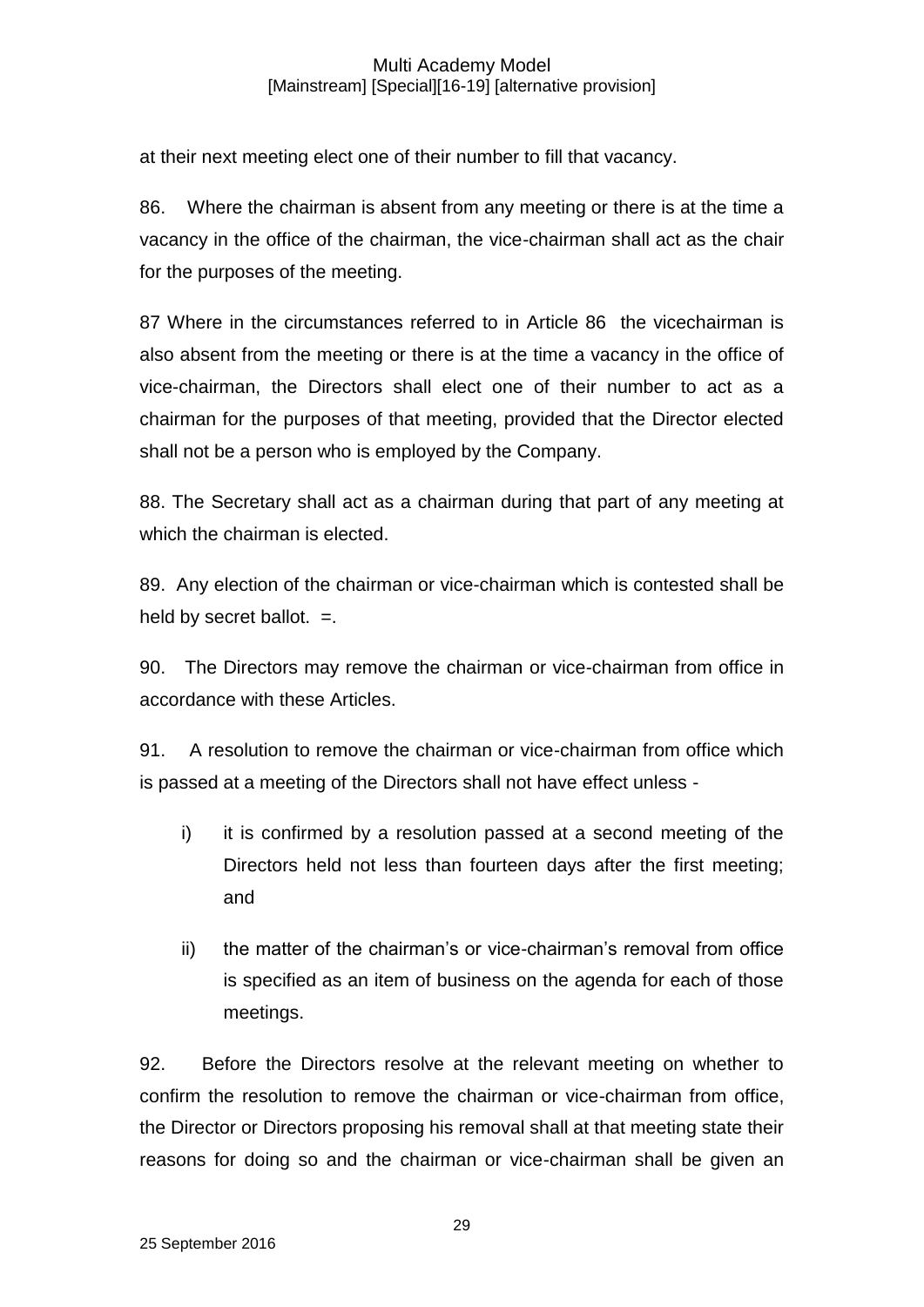at their next meeting elect one of their number to fill that vacancy.

86. Where the chairman is absent from any meeting or there is at the time a vacancy in the office of the chairman, the vice-chairman shall act as the chair for the purposes of the meeting.

87 Where in the circumstances referred to in Article 86 the vicechairman is also absent from the meeting or there is at the time a vacancy in the office of vice-chairman, the Directors shall elect one of their number to act as a chairman for the purposes of that meeting, provided that the Director elected shall not be a person who is employed by the Company.

88. The Secretary shall act as a chairman during that part of any meeting at which the chairman is elected.

89. Any election of the chairman or vice-chairman which is contested shall be held by secret ballot.  $=$ .

90. The Directors may remove the chairman or vice-chairman from office in accordance with these Articles.

91. A resolution to remove the chairman or vice-chairman from office which is passed at a meeting of the Directors shall not have effect unless -

- i) it is confirmed by a resolution passed at a second meeting of the Directors held not less than fourteen days after the first meeting; and
- ii) the matter of the chairman's or vice-chairman's removal from office is specified as an item of business on the agenda for each of those meetings.

92. Before the Directors resolve at the relevant meeting on whether to confirm the resolution to remove the chairman or vice-chairman from office, the Director or Directors proposing his removal shall at that meeting state their reasons for doing so and the chairman or vice-chairman shall be given an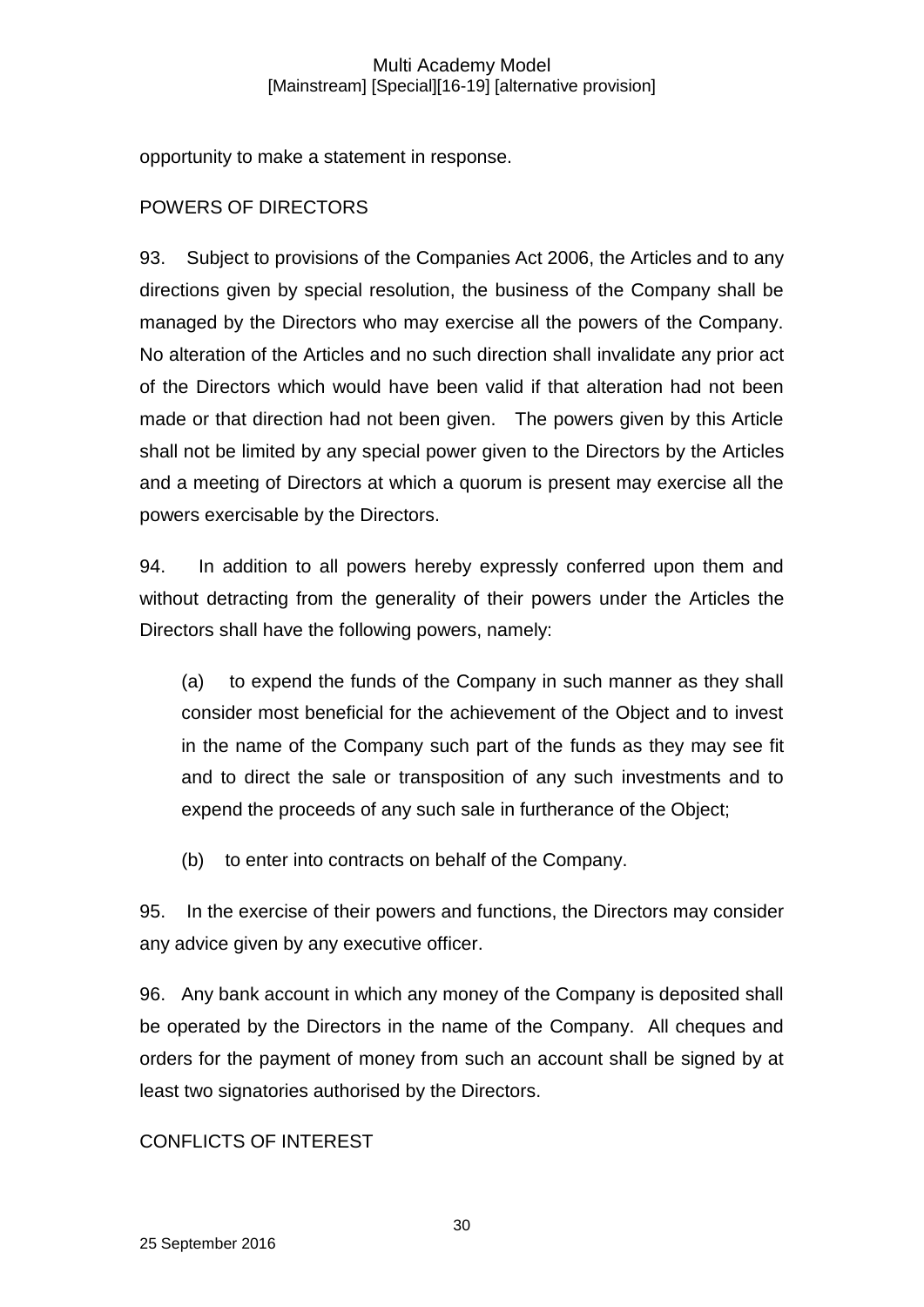opportunity to make a statement in response.

## POWERS OF DIRECTORS

93. Subject to provisions of the Companies Act 2006, the Articles and to any directions given by special resolution, the business of the Company shall be managed by the Directors who may exercise all the powers of the Company. No alteration of the Articles and no such direction shall invalidate any prior act of the Directors which would have been valid if that alteration had not been made or that direction had not been given. The powers given by this Article shall not be limited by any special power given to the Directors by the Articles and a meeting of Directors at which a quorum is present may exercise all the powers exercisable by the Directors.

94. In addition to all powers hereby expressly conferred upon them and without detracting from the generality of their powers under the Articles the Directors shall have the following powers, namely:

(a) to expend the funds of the Company in such manner as they shall consider most beneficial for the achievement of the Object and to invest in the name of the Company such part of the funds as they may see fit and to direct the sale or transposition of any such investments and to expend the proceeds of any such sale in furtherance of the Object;

(b) to enter into contracts on behalf of the Company.

95. In the exercise of their powers and functions, the Directors may consider any advice given by any executive officer.

96. Any bank account in which any money of the Company is deposited shall be operated by the Directors in the name of the Company. All cheques and orders for the payment of money from such an account shall be signed by at least two signatories authorised by the Directors.

## CONFLICTS OF INTEREST

30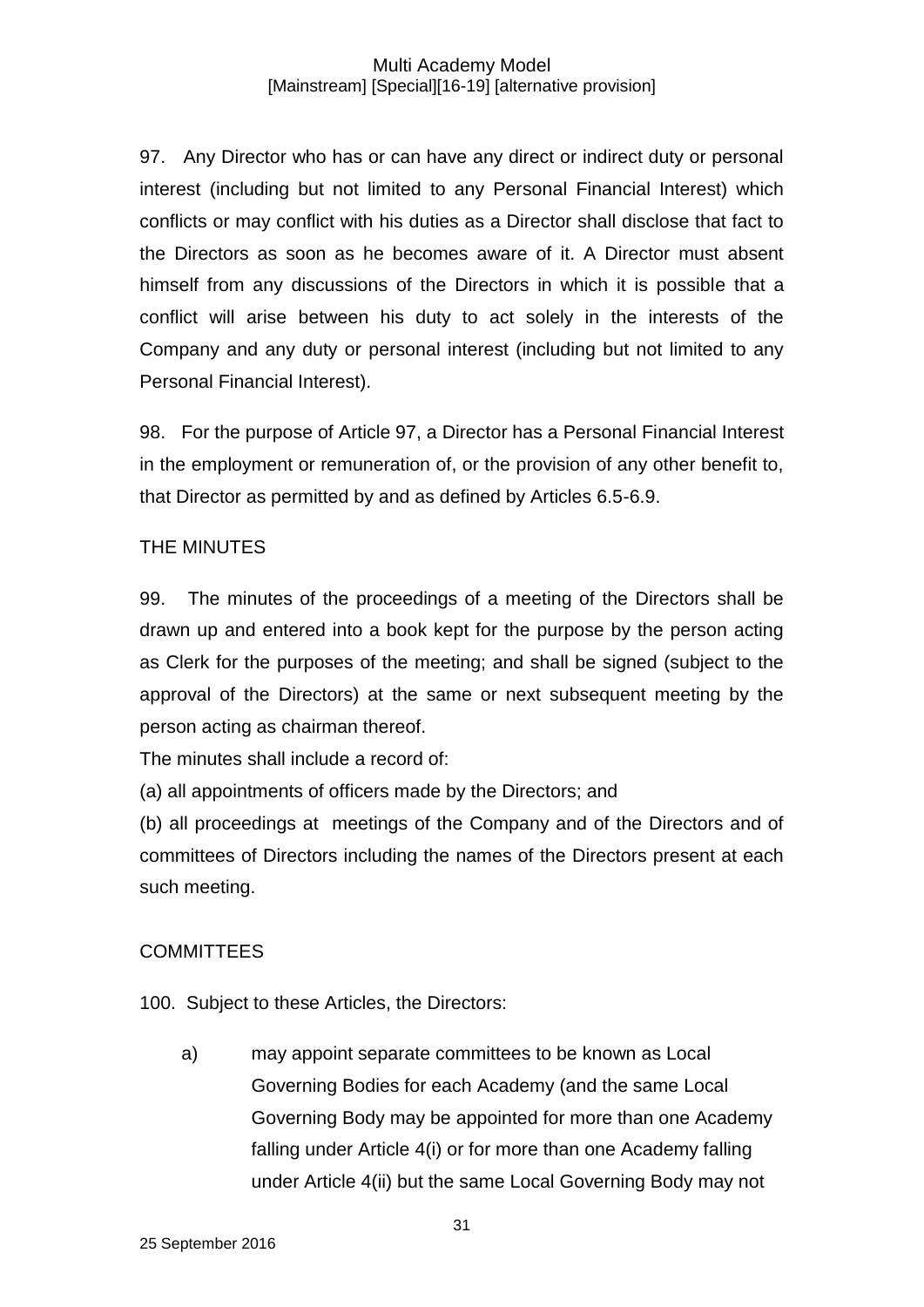97. Any Director who has or can have any direct or indirect duty or personal interest (including but not limited to any Personal Financial Interest) which conflicts or may conflict with his duties as a Director shall disclose that fact to the Directors as soon as he becomes aware of it. A Director must absent himself from any discussions of the Directors in which it is possible that a conflict will arise between his duty to act solely in the interests of the Company and any duty or personal interest (including but not limited to any Personal Financial Interest).

98. For the purpose of Article 97, a Director has a Personal Financial Interest in the employment or remuneration of, or the provision of any other benefit to, that Director as permitted by and as defined by Articles 6.5-6.9.

## THE MINUTES

99. The minutes of the proceedings of a meeting of the Directors shall be drawn up and entered into a book kept for the purpose by the person acting as Clerk for the purposes of the meeting; and shall be signed (subject to the approval of the Directors) at the same or next subsequent meeting by the person acting as chairman thereof.

The minutes shall include a record of:

(a) all appointments of officers made by the Directors; and

(b) all proceedings at meetings of the Company and of the Directors and of committees of Directors including the names of the Directors present at each such meeting.

## **COMMITTEES**

100. Subject to these Articles, the Directors:

a) may appoint separate committees to be known as Local Governing Bodies for each Academy (and the same Local Governing Body may be appointed for more than one Academy falling under Article 4(i) or for more than one Academy falling under Article 4(ii) but the same Local Governing Body may not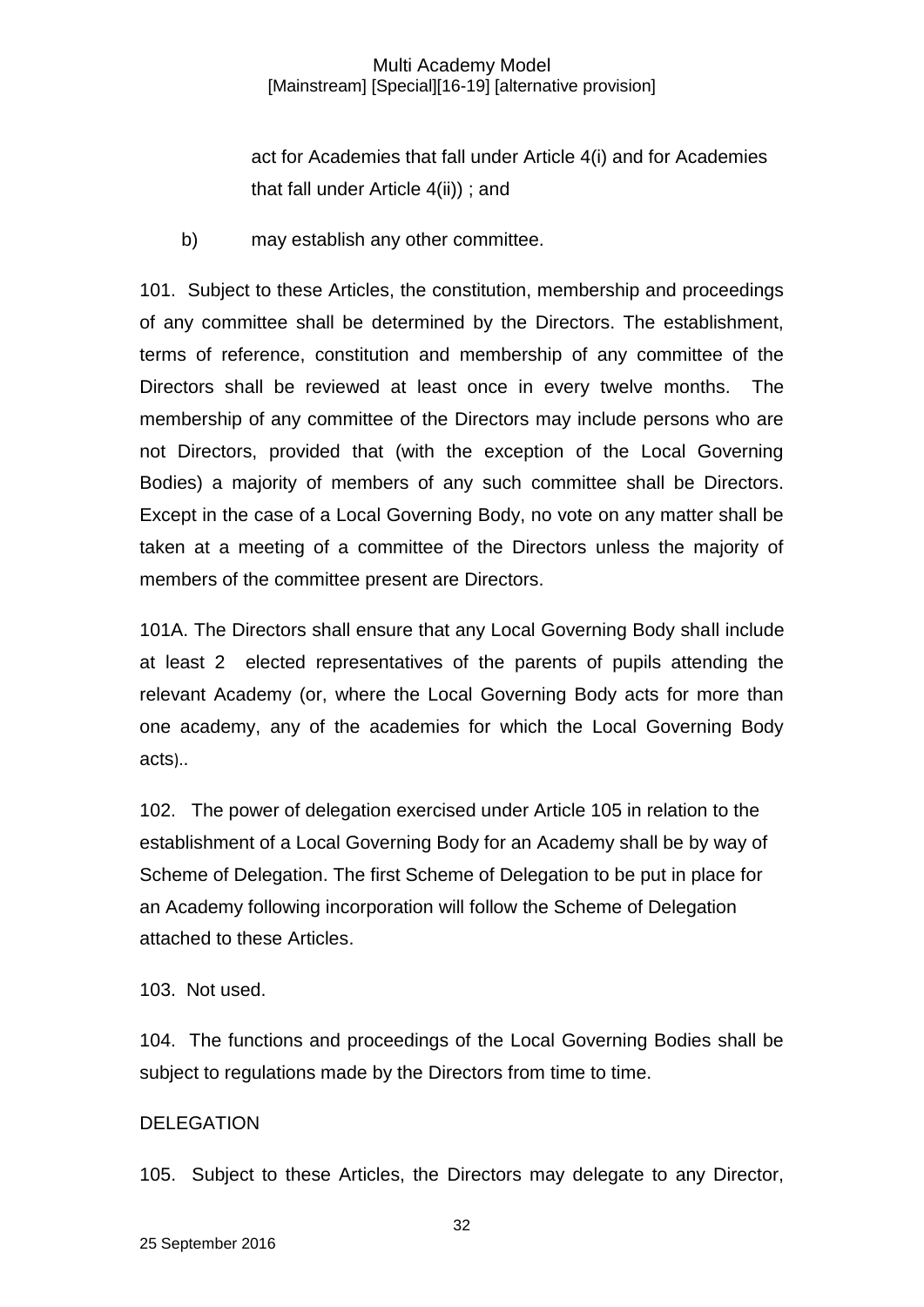act for Academies that fall under Article 4(i) and for Academies that fall under Article 4(ii)) ; and

b) may establish any other committee.

101. Subject to these Articles, the constitution, membership and proceedings of any committee shall be determined by the Directors. The establishment, terms of reference, constitution and membership of any committee of the Directors shall be reviewed at least once in every twelve months. The membership of any committee of the Directors may include persons who are not Directors, provided that (with the exception of the Local Governing Bodies) a majority of members of any such committee shall be Directors. Except in the case of a Local Governing Body, no vote on any matter shall be taken at a meeting of a committee of the Directors unless the majority of members of the committee present are Directors.

101A. The Directors shall ensure that any Local Governing Body shall include at least 2 elected representatives of the parents of pupils attending the relevant Academy (or, where the Local Governing Body acts for more than one academy, any of the academies for which the Local Governing Body acts)..

102. The power of delegation exercised under Article 105 in relation to the establishment of a Local Governing Body for an Academy shall be by way of Scheme of Delegation. The first Scheme of Delegation to be put in place for an Academy following incorporation will follow the Scheme of Delegation attached to these Articles.

103. Not used.

104. The functions and proceedings of the Local Governing Bodies shall be subject to regulations made by the Directors from time to time.

### DELEGATION

105. Subject to these Articles, the Directors may delegate to any Director,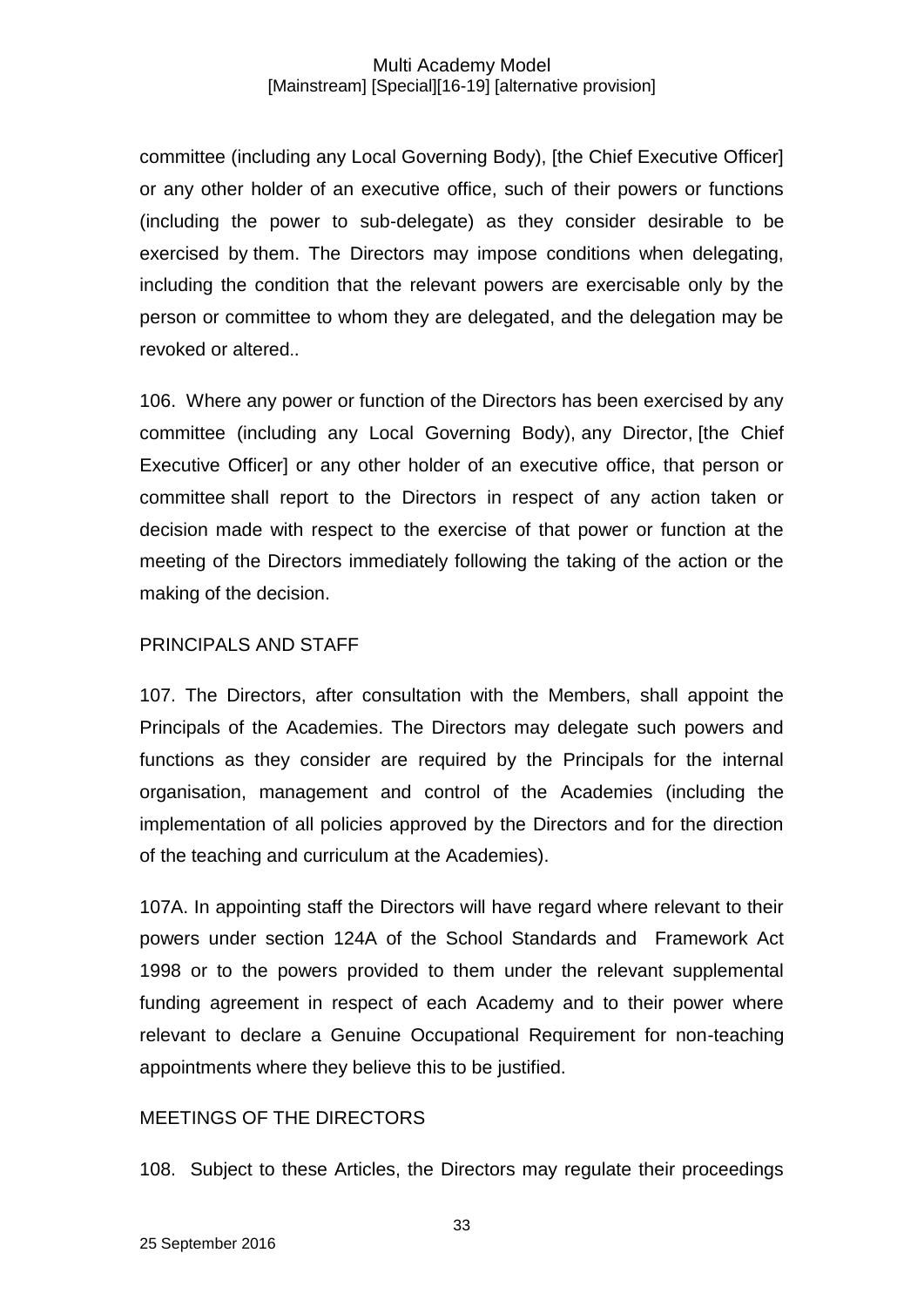committee (including any Local Governing Body), [the Chief Executive Officer] or any other holder of an executive office, such of their powers or functions (including the power to sub-delegate) as they consider desirable to be exercised by them. The Directors may impose conditions when delegating, including the condition that the relevant powers are exercisable only by the person or committee to whom they are delegated, and the delegation may be revoked or altered..

106. Where any power or function of the Directors has been exercised by any committee (including any Local Governing Body), any Director, [the Chief Executive Officer] or any other holder of an executive office, that person or committee shall report to the Directors in respect of any action taken or decision made with respect to the exercise of that power or function at the meeting of the Directors immediately following the taking of the action or the making of the decision.

### PRINCIPALS AND STAFF

107. The Directors, after consultation with the Members, shall appoint the Principals of the Academies. The Directors may delegate such powers and functions as they consider are required by the Principals for the internal organisation, management and control of the Academies (including the implementation of all policies approved by the Directors and for the direction of the teaching and curriculum at the Academies).

107A. In appointing staff the Directors will have regard where relevant to their powers under section 124A of the School Standards and Framework Act 1998 or to the powers provided to them under the relevant supplemental funding agreement in respect of each Academy and to their power where relevant to declare a Genuine Occupational Requirement for non-teaching appointments where they believe this to be justified.

### MEETINGS OF THE DIRECTORS

108. Subject to these Articles, the Directors may regulate their proceedings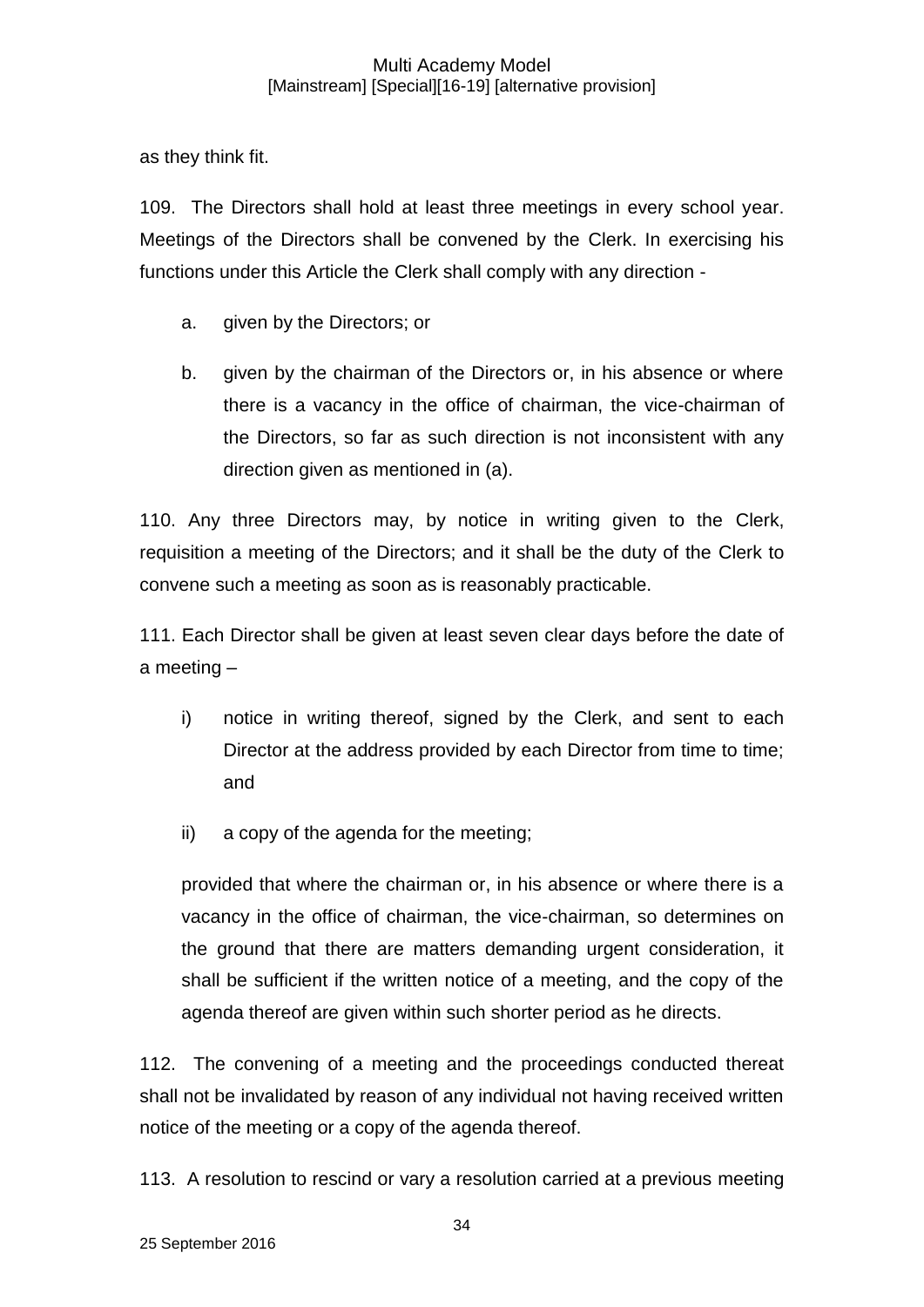as they think fit.

109. The Directors shall hold at least three meetings in every school year. Meetings of the Directors shall be convened by the Clerk. In exercising his functions under this Article the Clerk shall comply with any direction -

- a. given by the Directors; or
- b. given by the chairman of the Directors or, in his absence or where there is a vacancy in the office of chairman, the vice-chairman of the Directors, so far as such direction is not inconsistent with any direction given as mentioned in (a).

110. Any three Directors may, by notice in writing given to the Clerk, requisition a meeting of the Directors; and it shall be the duty of the Clerk to convene such a meeting as soon as is reasonably practicable.

111. Each Director shall be given at least seven clear days before the date of a meeting –

- i) notice in writing thereof, signed by the Clerk, and sent to each Director at the address provided by each Director from time to time; and
- ii) a copy of the agenda for the meeting;

provided that where the chairman or, in his absence or where there is a vacancy in the office of chairman, the vice-chairman, so determines on the ground that there are matters demanding urgent consideration, it shall be sufficient if the written notice of a meeting, and the copy of the agenda thereof are given within such shorter period as he directs.

112. The convening of a meeting and the proceedings conducted thereat shall not be invalidated by reason of any individual not having received written notice of the meeting or a copy of the agenda thereof.

113. A resolution to rescind or vary a resolution carried at a previous meeting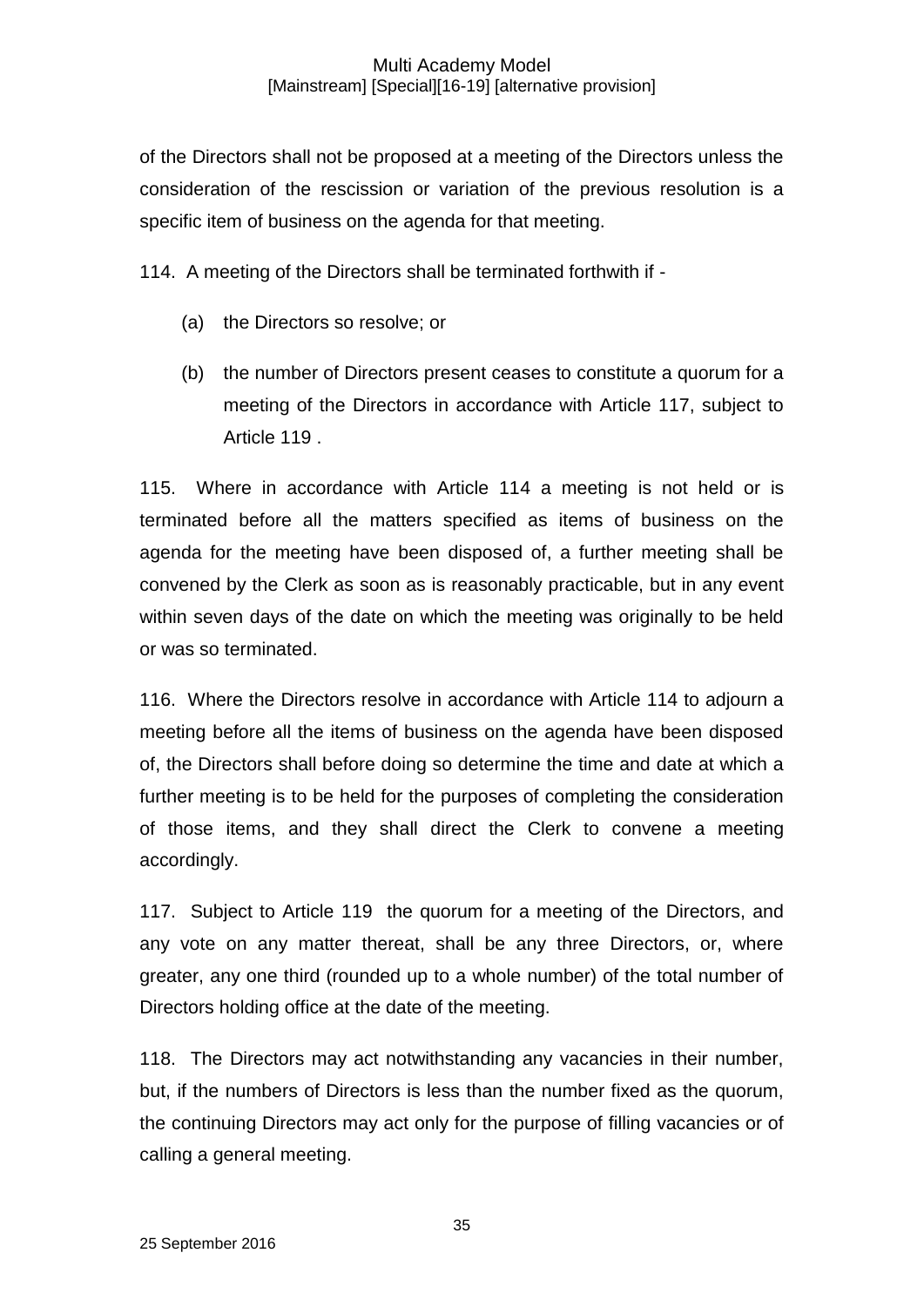of the Directors shall not be proposed at a meeting of the Directors unless the consideration of the rescission or variation of the previous resolution is a specific item of business on the agenda for that meeting.

114. A meeting of the Directors shall be terminated forthwith if -

- (a) the Directors so resolve; or
- (b) the number of Directors present ceases to constitute a quorum for a meeting of the Directors in accordance with Article 117, subject to Article 119 .

115. Where in accordance with Article 114 a meeting is not held or is terminated before all the matters specified as items of business on the agenda for the meeting have been disposed of, a further meeting shall be convened by the Clerk as soon as is reasonably practicable, but in any event within seven days of the date on which the meeting was originally to be held or was so terminated.

116. Where the Directors resolve in accordance with Article 114 to adjourn a meeting before all the items of business on the agenda have been disposed of, the Directors shall before doing so determine the time and date at which a further meeting is to be held for the purposes of completing the consideration of those items, and they shall direct the Clerk to convene a meeting accordingly.

117. Subject to Article 119 the quorum for a meeting of the Directors, and any vote on any matter thereat, shall be any three Directors, or, where greater, any one third (rounded up to a whole number) of the total number of Directors holding office at the date of the meeting.

118. The Directors may act notwithstanding any vacancies in their number, but, if the numbers of Directors is less than the number fixed as the quorum, the continuing Directors may act only for the purpose of filling vacancies or of calling a general meeting.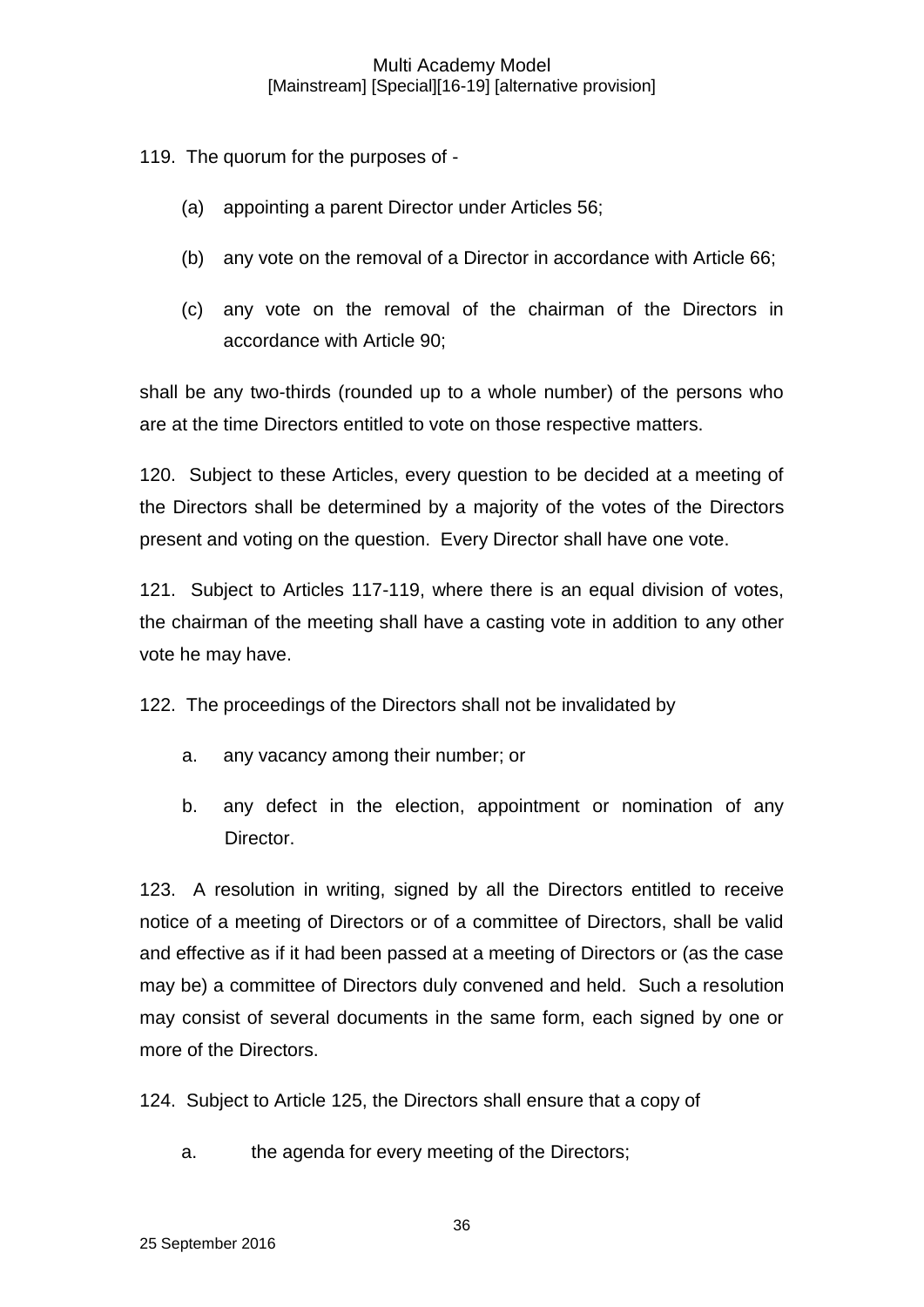119. The quorum for the purposes of -

- (a) appointing a parent Director under Articles 56;
- (b) any vote on the removal of a Director in accordance with Article 66;
- (c) any vote on the removal of the chairman of the Directors in accordance with Article 90;

shall be any two-thirds (rounded up to a whole number) of the persons who are at the time Directors entitled to vote on those respective matters.

120. Subject to these Articles, every question to be decided at a meeting of the Directors shall be determined by a majority of the votes of the Directors present and voting on the question. Every Director shall have one vote.

121. Subject to Articles 117-119, where there is an equal division of votes, the chairman of the meeting shall have a casting vote in addition to any other vote he may have.

122. The proceedings of the Directors shall not be invalidated by

- a. any vacancy among their number; or
- b. any defect in the election, appointment or nomination of any Director.

123. A resolution in writing, signed by all the Directors entitled to receive notice of a meeting of Directors or of a committee of Directors, shall be valid and effective as if it had been passed at a meeting of Directors or (as the case may be) a committee of Directors duly convened and held. Such a resolution may consist of several documents in the same form, each signed by one or more of the Directors.

124. Subject to Article 125, the Directors shall ensure that a copy of

a. the agenda for every meeting of the Directors;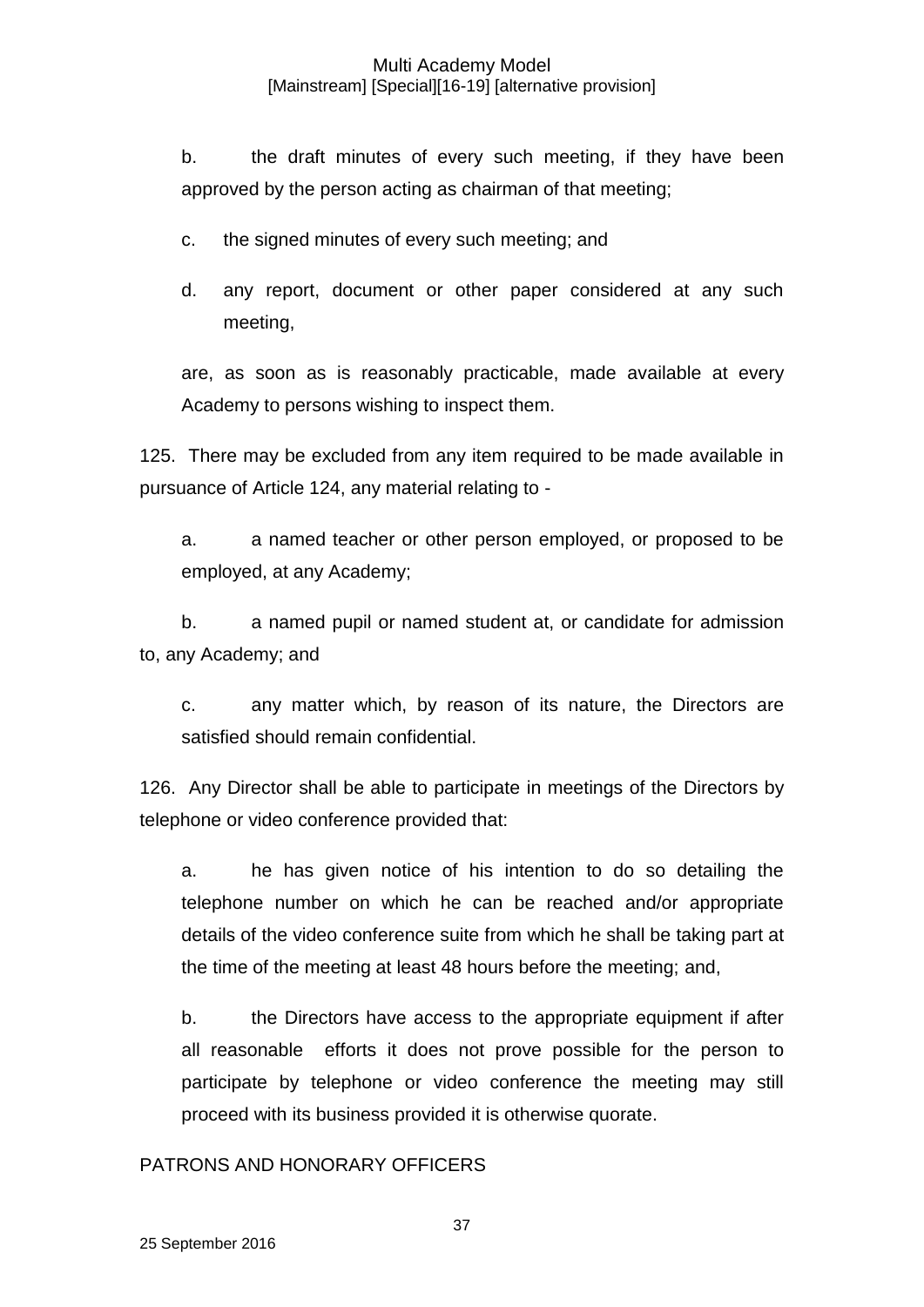b. the draft minutes of every such meeting, if they have been approved by the person acting as chairman of that meeting;

c. the signed minutes of every such meeting; and

d. any report, document or other paper considered at any such meeting,

are, as soon as is reasonably practicable, made available at every Academy to persons wishing to inspect them.

125. There may be excluded from any item required to be made available in pursuance of Article 124, any material relating to -

a. a named teacher or other person employed, or proposed to be employed, at any Academy;

b. a named pupil or named student at, or candidate for admission to, any Academy; and

c. any matter which, by reason of its nature, the Directors are satisfied should remain confidential.

126. Any Director shall be able to participate in meetings of the Directors by telephone or video conference provided that:

a. he has given notice of his intention to do so detailing the telephone number on which he can be reached and/or appropriate details of the video conference suite from which he shall be taking part at the time of the meeting at least 48 hours before the meeting; and,

b. the Directors have access to the appropriate equipment if after all reasonable efforts it does not prove possible for the person to participate by telephone or video conference the meeting may still proceed with its business provided it is otherwise quorate.

### PATRONS AND HONORARY OFFICERS

37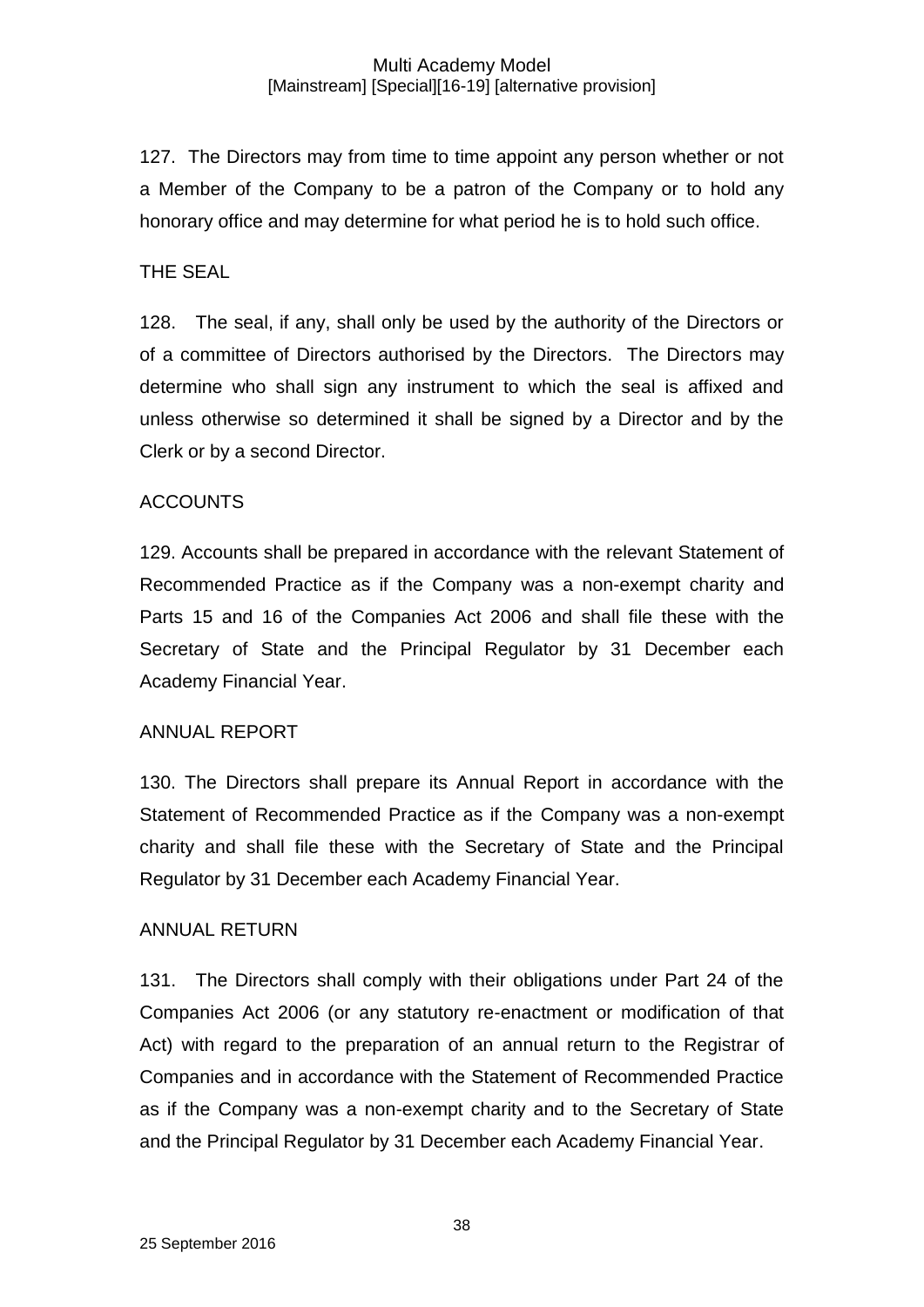127. The Directors may from time to time appoint any person whether or not a Member of the Company to be a patron of the Company or to hold any honorary office and may determine for what period he is to hold such office.

## THE SEAL

128. The seal, if any, shall only be used by the authority of the Directors or of a committee of Directors authorised by the Directors. The Directors may determine who shall sign any instrument to which the seal is affixed and unless otherwise so determined it shall be signed by a Director and by the Clerk or by a second Director.

### **ACCOUNTS**

129. Accounts shall be prepared in accordance with the relevant Statement of Recommended Practice as if the Company was a non-exempt charity and Parts 15 and 16 of the Companies Act 2006 and shall file these with the Secretary of State and the Principal Regulator by 31 December each Academy Financial Year.

### ANNUAL REPORT

130. The Directors shall prepare its Annual Report in accordance with the Statement of Recommended Practice as if the Company was a non-exempt charity and shall file these with the Secretary of State and the Principal Regulator by 31 December each Academy Financial Year.

### ANNUAL RETURN

131. The Directors shall comply with their obligations under Part 24 of the Companies Act 2006 (or any statutory re-enactment or modification of that Act) with regard to the preparation of an annual return to the Registrar of Companies and in accordance with the Statement of Recommended Practice as if the Company was a non-exempt charity and to the Secretary of State and the Principal Regulator by 31 December each Academy Financial Year.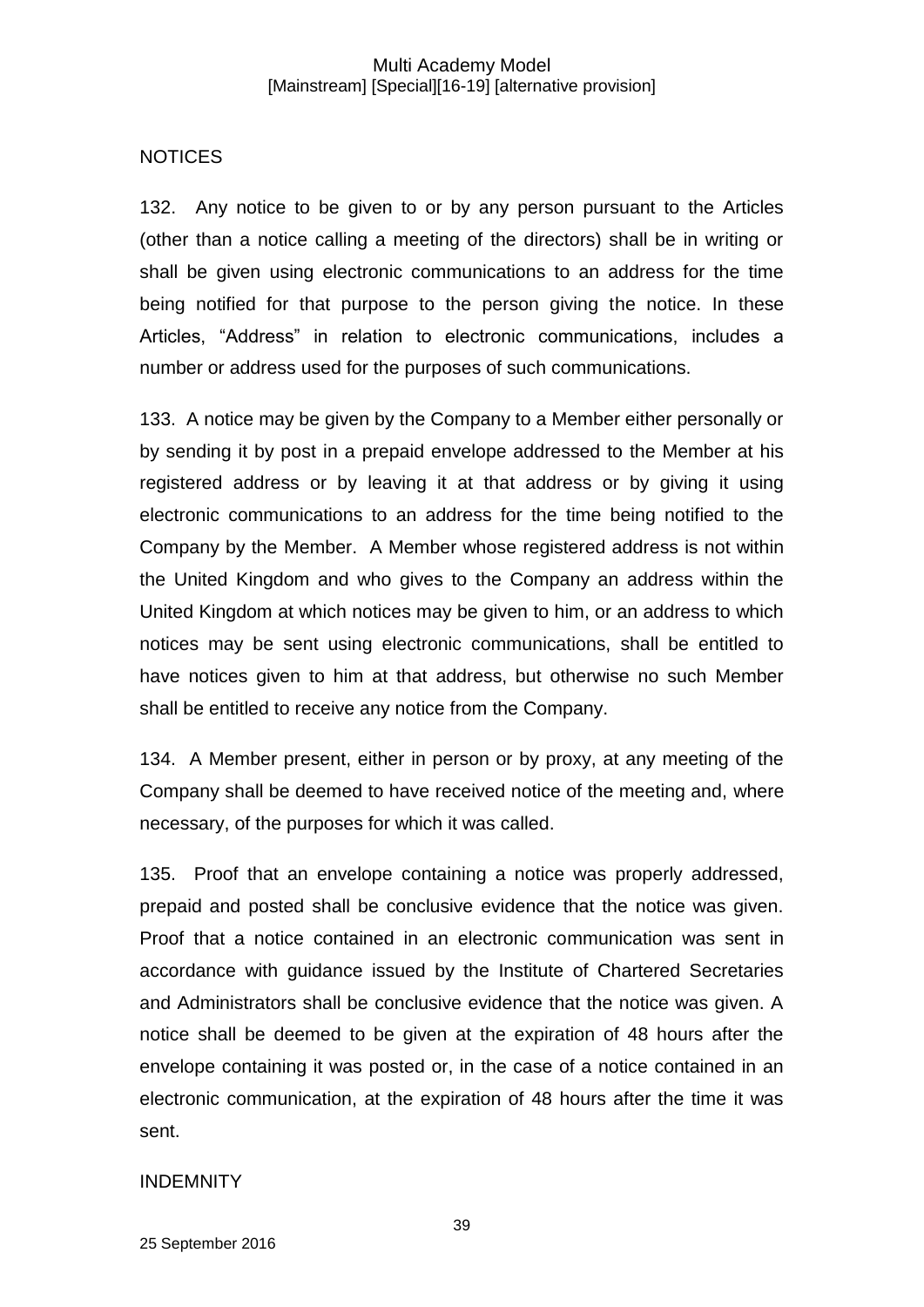## NOTICES

132. Any notice to be given to or by any person pursuant to the Articles (other than a notice calling a meeting of the directors) shall be in writing or shall be given using electronic communications to an address for the time being notified for that purpose to the person giving the notice. In these Articles, "Address" in relation to electronic communications, includes a number or address used for the purposes of such communications.

133. A notice may be given by the Company to a Member either personally or by sending it by post in a prepaid envelope addressed to the Member at his registered address or by leaving it at that address or by giving it using electronic communications to an address for the time being notified to the Company by the Member. A Member whose registered address is not within the United Kingdom and who gives to the Company an address within the United Kingdom at which notices may be given to him, or an address to which notices may be sent using electronic communications, shall be entitled to have notices given to him at that address, but otherwise no such Member shall be entitled to receive any notice from the Company.

134. A Member present, either in person or by proxy, at any meeting of the Company shall be deemed to have received notice of the meeting and, where necessary, of the purposes for which it was called.

135. Proof that an envelope containing a notice was properly addressed, prepaid and posted shall be conclusive evidence that the notice was given. Proof that a notice contained in an electronic communication was sent in accordance with guidance issued by the Institute of Chartered Secretaries and Administrators shall be conclusive evidence that the notice was given. A notice shall be deemed to be given at the expiration of 48 hours after the envelope containing it was posted or, in the case of a notice contained in an electronic communication, at the expiration of 48 hours after the time it was sent.

## INDEMNITY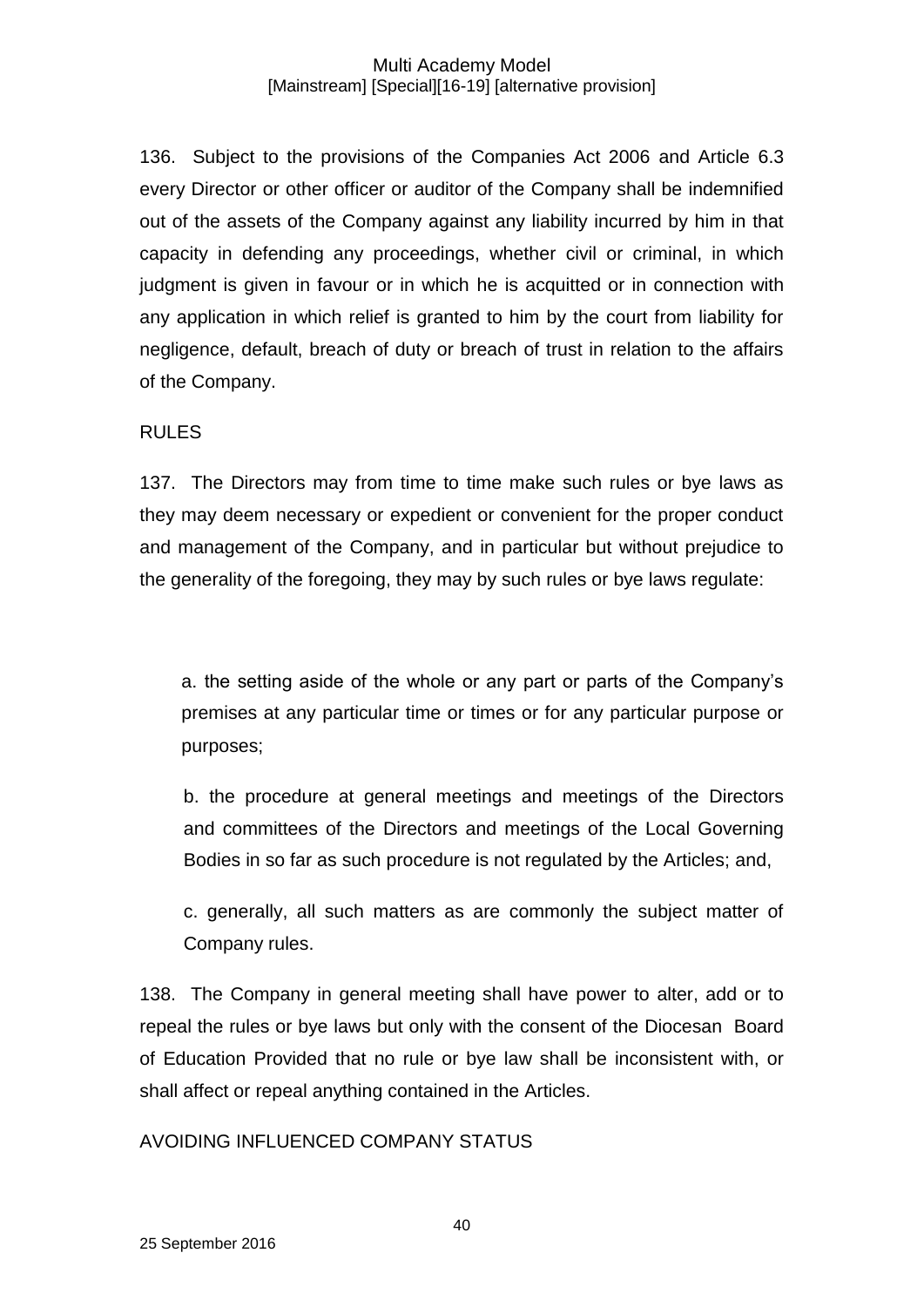136. Subject to the provisions of the Companies Act 2006 and Article 6.3 every Director or other officer or auditor of the Company shall be indemnified out of the assets of the Company against any liability incurred by him in that capacity in defending any proceedings, whether civil or criminal, in which judgment is given in favour or in which he is acquitted or in connection with any application in which relief is granted to him by the court from liability for negligence, default, breach of duty or breach of trust in relation to the affairs of the Company.

### RULES

137. The Directors may from time to time make such rules or bye laws as they may deem necessary or expedient or convenient for the proper conduct and management of the Company, and in particular but without prejudice to the generality of the foregoing, they may by such rules or bye laws regulate:

a. the setting aside of the whole or any part or parts of the Company's premises at any particular time or times or for any particular purpose or purposes;

b. the procedure at general meetings and meetings of the Directors and committees of the Directors and meetings of the Local Governing Bodies in so far as such procedure is not regulated by the Articles; and,

c. generally, all such matters as are commonly the subject matter of Company rules.

138. The Company in general meeting shall have power to alter, add or to repeal the rules or bye laws but only with the consent of the Diocesan Board of Education Provided that no rule or bye law shall be inconsistent with, or shall affect or repeal anything contained in the Articles.

AVOIDING INFLUENCED COMPANY STATUS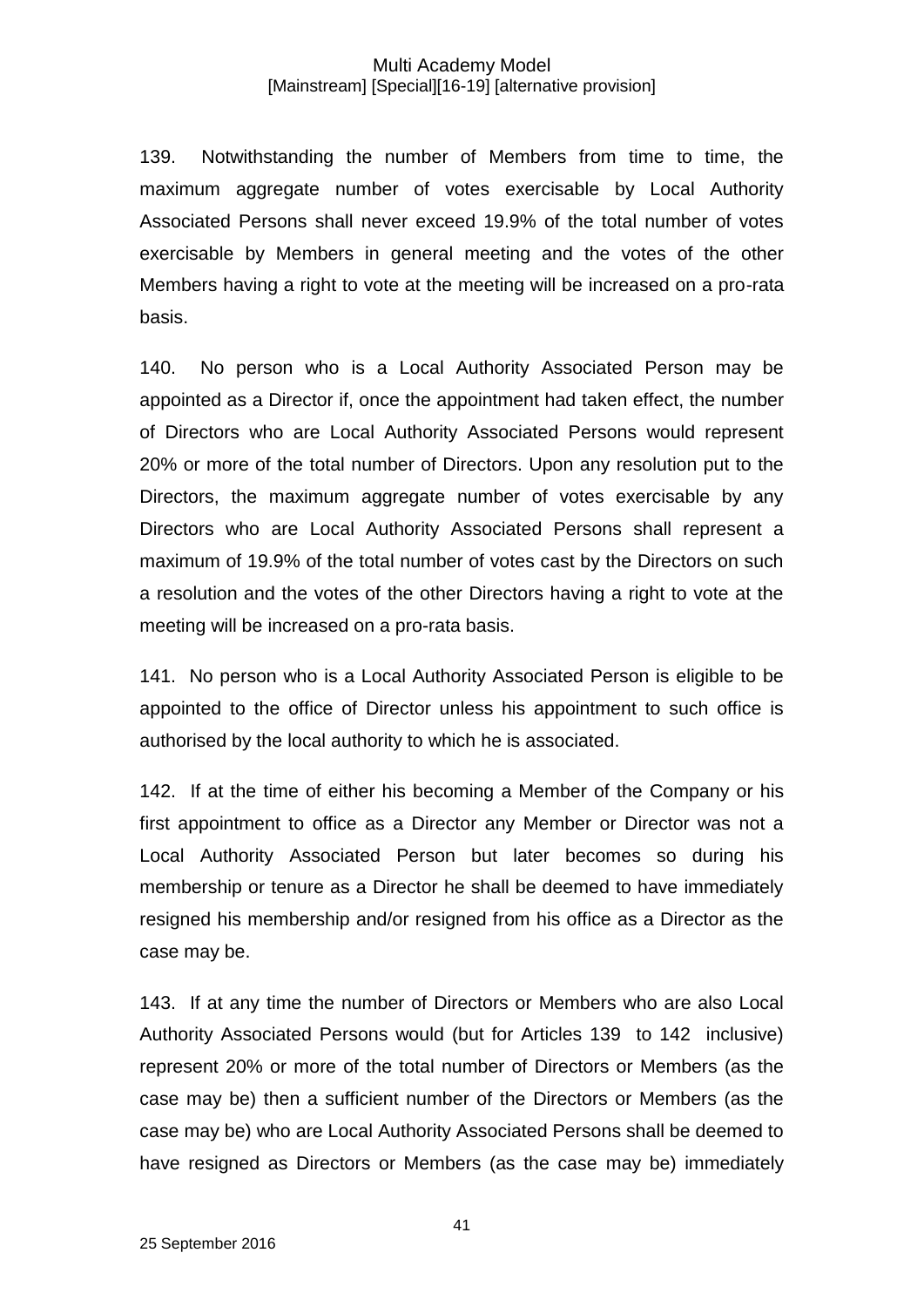139. Notwithstanding the number of Members from time to time, the maximum aggregate number of votes exercisable by Local Authority Associated Persons shall never exceed 19.9% of the total number of votes exercisable by Members in general meeting and the votes of the other Members having a right to vote at the meeting will be increased on a pro-rata basis.

140. No person who is a Local Authority Associated Person may be appointed as a Director if, once the appointment had taken effect, the number of Directors who are Local Authority Associated Persons would represent 20% or more of the total number of Directors. Upon any resolution put to the Directors, the maximum aggregate number of votes exercisable by any Directors who are Local Authority Associated Persons shall represent a maximum of 19.9% of the total number of votes cast by the Directors on such a resolution and the votes of the other Directors having a right to vote at the meeting will be increased on a pro-rata basis.

141. No person who is a Local Authority Associated Person is eligible to be appointed to the office of Director unless his appointment to such office is authorised by the local authority to which he is associated.

142. If at the time of either his becoming a Member of the Company or his first appointment to office as a Director any Member or Director was not a Local Authority Associated Person but later becomes so during his membership or tenure as a Director he shall be deemed to have immediately resigned his membership and/or resigned from his office as a Director as the case may be.

143. If at any time the number of Directors or Members who are also Local Authority Associated Persons would (but for Articles 139 to 142 inclusive) represent 20% or more of the total number of Directors or Members (as the case may be) then a sufficient number of the Directors or Members (as the case may be) who are Local Authority Associated Persons shall be deemed to have resigned as Directors or Members (as the case may be) immediately